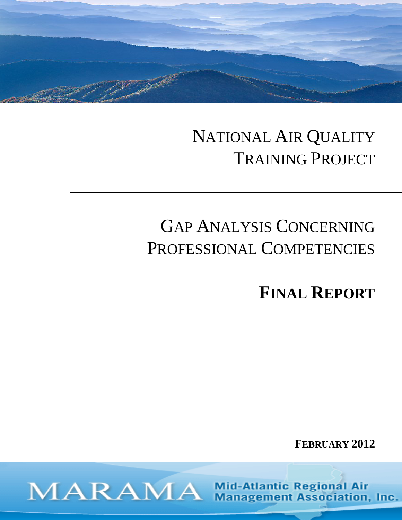## NATIONAL AIR QUALITY TRAINING PROJECT

# GAP ANALYSIS CONCERNING PROFESSIONAL COMPETENCIES

**FINAL REPORT**

**FEBRUARY 2012** 

**Mid-Atlantic Regional Air Management Association, Inc.** 

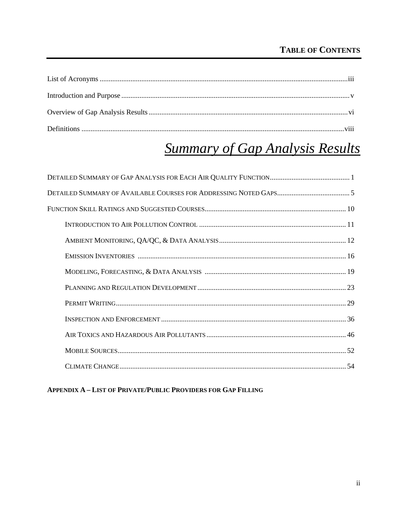## **TABLE OF CONTENTS**

## **Summary of Gap Analysis Results**

**APPENDIX A - LIST OF PRIVATE/PUBLIC PROVIDERS FOR GAP FILLING**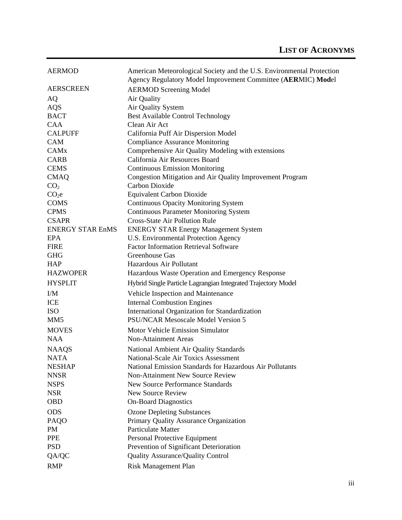| <b>AERMOD</b>           | American Meteorological Society and the U.S. Environmental Protection |
|-------------------------|-----------------------------------------------------------------------|
|                         | Agency Regulatory Model Improvement Committee (AERMIC) Model          |
| <b>AERSCREEN</b>        | <b>AERMOD Screening Model</b>                                         |
| AQ                      | Air Quality                                                           |
| AQS                     | Air Quality System                                                    |
| <b>BACT</b>             | <b>Best Available Control Technology</b>                              |
| CAA                     | Clean Air Act                                                         |
| <b>CALPUFF</b>          | California Puff Air Dispersion Model                                  |
| <b>CAM</b>              | <b>Compliance Assurance Monitoring</b>                                |
| CAM <sub>x</sub>        | Comprehensive Air Quality Modeling with extensions                    |
| <b>CARB</b>             | California Air Resources Board                                        |
| <b>CEMS</b>             | <b>Continuous Emission Monitoring</b>                                 |
| <b>CMAQ</b>             | Congestion Mitigation and Air Quality Improvement Program             |
| CO <sub>2</sub>         | <b>Carbon Dioxide</b>                                                 |
| CO <sub>2</sub> e       | <b>Equivalent Carbon Dioxide</b>                                      |
| <b>COMS</b>             | <b>Continuous Opacity Monitoring System</b>                           |
| <b>CPMS</b>             | <b>Continuous Parameter Monitoring System</b>                         |
| <b>CSAPR</b>            | <b>Cross-State Air Pollution Rule</b>                                 |
| <b>ENERGY STAR EnMS</b> | <b>ENERGY STAR Energy Management System</b>                           |
| <b>EPA</b>              | U.S. Environmental Protection Agency                                  |
| <b>FIRE</b>             | <b>Factor Information Retrieval Software</b>                          |
| <b>GHG</b>              | Greenhouse Gas                                                        |
| <b>HAP</b>              | Hazardous Air Pollutant                                               |
| <b>HAZWOPER</b>         | Hazardous Waste Operation and Emergency Response                      |
| <b>HYSPLIT</b>          | Hybrid Single Particle Lagrangian Integrated Trajectory Model         |
| I/M                     | Vehicle Inspection and Maintenance                                    |
| ICE                     | <b>Internal Combustion Engines</b>                                    |
| <b>ISO</b>              | International Organization for Standardization                        |
| MM <sub>5</sub>         | <b>PSU/NCAR Mesoscale Model Version 5</b>                             |
| <b>MOVES</b>            | Motor Vehicle Emission Simulator                                      |
| <b>NAA</b>              | <b>Non-Attainment Areas</b>                                           |
| <b>NAAQS</b>            | National Ambient Air Quality Standards                                |
| <b>NATA</b>             | National-Scale Air Toxics Assessment                                  |
| <b>NESHAP</b>           | National Emission Standards for Hazardous Air Pollutants              |
| <b>NNSR</b>             | <b>Non-Attainment New Source Review</b>                               |
| <b>NSPS</b>             | <b>New Source Performance Standards</b>                               |
| <b>NSR</b>              | New Source Review                                                     |
| <b>OBD</b>              | <b>On-Board Diagnostics</b>                                           |
| <b>ODS</b>              | <b>Ozone Depleting Substances</b>                                     |
| PAQO                    | Primary Quality Assurance Organization                                |
| PM                      | <b>Particulate Matter</b>                                             |
| <b>PPE</b>              | Personal Protective Equipment                                         |
| <b>PSD</b>              | Prevention of Significant Deterioration                               |
| QA/QC                   | Quality Assurance/Quality Control                                     |
| <b>RMP</b>              | Risk Management Plan                                                  |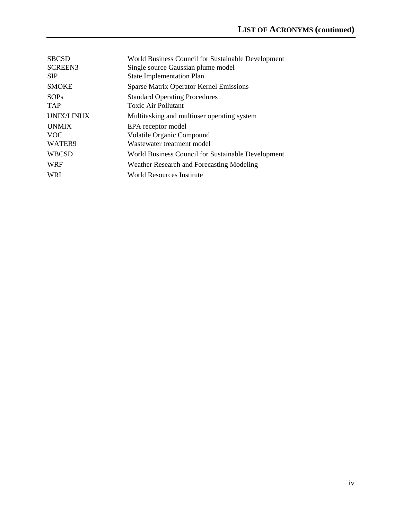| <b>SBCSD</b><br><b>SCREEN3</b>       | World Business Council for Sustainable Development<br>Single source Gaussian plume model |
|--------------------------------------|------------------------------------------------------------------------------------------|
| <b>SIP</b>                           | <b>State Implementation Plan</b>                                                         |
| <b>SMOKE</b>                         | <b>Sparse Matrix Operator Kernel Emissions</b>                                           |
| SOPs<br><b>TAP</b>                   | <b>Standard Operating Procedures</b><br>Toxic Air Pollutant                              |
| <b>UNIX/LINUX</b>                    | Multitasking and multiuser operating system                                              |
| <b>UNMIX</b><br><b>VOC</b><br>WATER9 | EPA receptor model<br>Volatile Organic Compound<br>Wastewater treatment model            |
| <b>WBCSD</b>                         | World Business Council for Sustainable Development                                       |
| <b>WRF</b>                           | Weather Research and Forecasting Modeling                                                |
| <b>WRI</b>                           | World Resources Institute                                                                |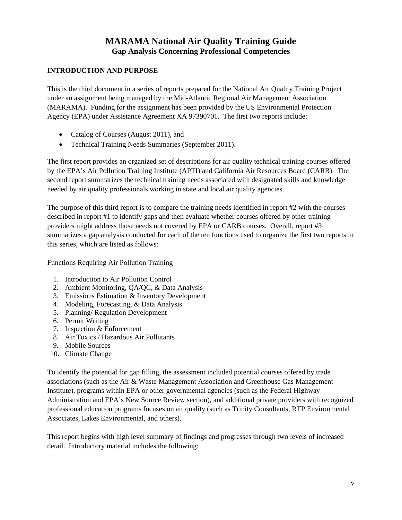### **MARAMA National Air Quality Training Guide Gap Analysis Concerning Professional Competencies**

#### **INTRODUCTION AND PURPOSE**

This is the third document in a series of reports prepared for the National Air Quality Training Project under an assignment being managed by the Mid-Atlantic Regional Air Management Association (MARAMA). Funding for the assignment has been provided by the US Environmental Protection Agency (EPA) under Assistance Agreement XA 97390701. The first two reports include:

- Catalog of Courses (August 2011), and
- Technical Training Needs Summaries (September 2011).

The first report provides an organized set of descriptions for air quality technical training courses offered by the EPA's Air Pollution Training Institute (APTI) and California Air Resources Board (CARB). The second report summarizes the technical training needs associated with designated skills and knowledge needed by air quality professionals working in state and local air quality agencies.

The purpose of this third report is to compare the training needs identified in report #2 with the courses described in report #1 to identify gaps and then evaluate whether courses offered by other training providers might address those needs not covered by EPA or CARB courses. Overall, report #3 summarizes a gap analysis conducted for each of the ten functions used to organize the first two reports in this series, which are listed as follows:

#### Functions Requiring Air Pollution Training

- 1. Introduction to Air Pollution Control
- 2. Ambient Monitoring, QA/QC, & Data Analysis
- 3. Emissions Estimation & Inventory Development
- 4. Modeling, Forecasting, & Data Analysis
- 5. Planning/ Regulation Development
- 6. Permit Writing
- 7. Inspection & Enforcement
- 8. Air Toxics / Hazardous Air Pollutants
- 9. Mobile Sources
- 10. Climate Change

To identify the potential for gap filling, the assessment included potential courses offered by trade associations (such as the Air & Waste Management Association and Greenhouse Gas Management Institute), programs within EPA or other governmental agencies (such as the Federal Highway Administration and EPA's New Source Review section), and additional private providers with recognized professional education programs focuses on air quality (such as Trinity Consultants, RTP Environmental Associates, Lakes Environmental, and others).

This report begins with high level summary of findings and progresses through two levels of increased detail. Introductory material includes the following: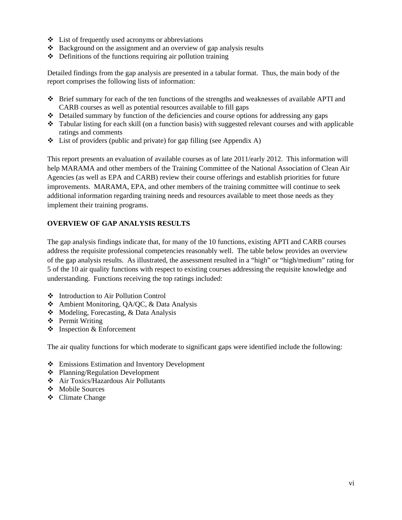- $\triangle$  List of frequently used acronyms or abbreviations
- $\triangle$  Background on the assignment and an overview of gap analysis results
- $\triangle$  Definitions of the functions requiring air pollution training

Detailed findings from the gap analysis are presented in a tabular format. Thus, the main body of the report comprises the following lists of information:

- Brief summary for each of the ten functions of the strengths and weaknesses of available APTI and CARB courses as well as potential resources available to fill gaps
- $\triangleleft$  Detailed summary by function of the deficiencies and course options for addressing any gaps
- Tabular listing for each skill (on a function basis) with suggested relevant courses and with applicable ratings and comments
- $\triangleleft$  List of providers (public and private) for gap filling (see Appendix A)

This report presents an evaluation of available courses as of late 2011/early 2012. This information will help MARAMA and other members of the Training Committee of the National Association of Clean Air Agencies (as well as EPA and CARB) review their course offerings and establish priorities for future improvements. MARAMA, EPA, and other members of the training committee will continue to seek additional information regarding training needs and resources available to meet those needs as they implement their training programs.

#### **OVERVIEW OF GAP ANALYSIS RESULTS**

The gap analysis findings indicate that, for many of the 10 functions, existing APTI and CARB courses address the requisite professional competencies reasonably well. The table below provides an overview of the gap analysis results. As illustrated, the assessment resulted in a "high" or "high/medium" rating for 5 of the 10 air quality functions with respect to existing courses addressing the requisite knowledge and understanding. Functions receiving the top ratings included:

- Introduction to Air Pollution Control
- Ambient Monitoring, QA/QC, & Data Analysis
- $\triangle$  Modeling, Forecasting, & Data Analysis
- ❖ Permit Writing
- $\triangle$  Inspection & Enforcement

The air quality functions for which moderate to significant gaps were identified include the following:

- Emissions Estimation and Inventory Development
- Planning/Regulation Development
- Air Toxics/Hazardous Air Pollutants
- Mobile Sources
- Climate Change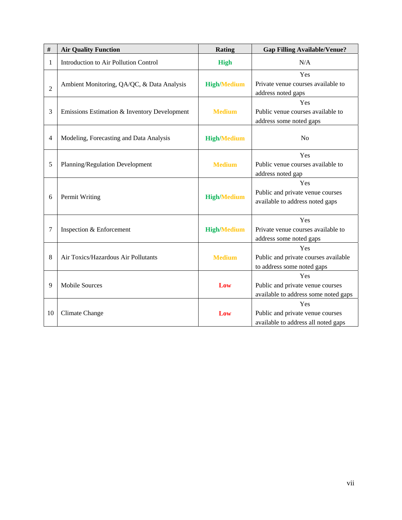| $\#$           | <b>Air Quality Function</b>                  | <b>Rating</b>      | <b>Gap Filling Available/Venue?</b>                                             |
|----------------|----------------------------------------------|--------------------|---------------------------------------------------------------------------------|
| $\mathbf{1}$   | Introduction to Air Pollution Control        | <b>High</b>        | N/A                                                                             |
| $\overline{2}$ | Ambient Monitoring, QA/QC, & Data Analysis   | <b>High/Medium</b> | Yes<br>Private venue courses available to<br>address noted gaps                 |
| 3              | Emissions Estimation & Inventory Development | <b>Medium</b>      | Yes<br>Public venue courses available to<br>address some noted gaps             |
| $\overline{4}$ | Modeling, Forecasting and Data Analysis      | <b>High/Medium</b> | N <sub>0</sub>                                                                  |
| 5              | Planning/Regulation Development              | <b>Medium</b>      | Yes<br>Public venue courses available to<br>address noted gap                   |
| 6              | Permit Writing                               | <b>High/Medium</b> | Yes<br>Public and private venue courses<br>available to address noted gaps      |
| 7              | Inspection & Enforcement                     | <b>High/Medium</b> | Yes<br>Private venue courses available to<br>address some noted gaps            |
| 8              | Air Toxics/Hazardous Air Pollutants          | <b>Medium</b>      | Yes<br>Public and private courses available<br>to address some noted gaps       |
| 9              | <b>Mobile Sources</b>                        | Low                | Yes<br>Public and private venue courses<br>available to address some noted gaps |
| 10             | <b>Climate Change</b>                        | Low                | Yes<br>Public and private venue courses<br>available to address all noted gaps  |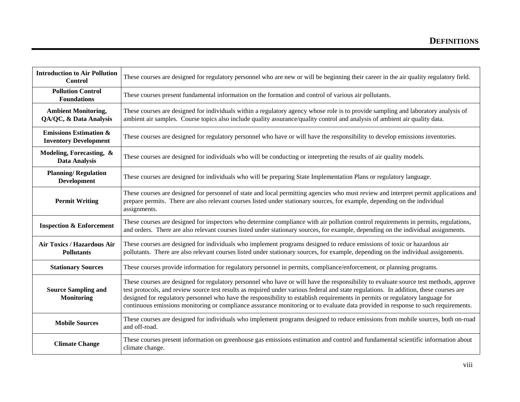| <b>Introduction to Air Pollution</b><br>Control                   | These courses are designed for regulatory personnel who are new or will be beginning their career in the air quality regulatory field.                                                                                                                                                                                                                                                                                                                                                                                                                |  |
|-------------------------------------------------------------------|-------------------------------------------------------------------------------------------------------------------------------------------------------------------------------------------------------------------------------------------------------------------------------------------------------------------------------------------------------------------------------------------------------------------------------------------------------------------------------------------------------------------------------------------------------|--|
| <b>Pollution Control</b><br><b>Foundations</b>                    | These courses present fundamental information on the formation and control of various air pollutants.                                                                                                                                                                                                                                                                                                                                                                                                                                                 |  |
| <b>Ambient Monitoring,</b><br>QA/QC, & Data Analysis              | These courses are designed for individuals within a regulatory agency whose role is to provide sampling and laboratory analysis of<br>ambient air samples. Course topics also include quality assurance/quality control and analysis of ambient air quality data.                                                                                                                                                                                                                                                                                     |  |
| <b>Emissions Estimation &amp;</b><br><b>Inventory Development</b> | These courses are designed for regulatory personnel who have or will have the responsibility to develop emissions inventories.                                                                                                                                                                                                                                                                                                                                                                                                                        |  |
| Modeling, Forecasting, &<br><b>Data Analysis</b>                  | These courses are designed for individuals who will be conducting or interpreting the results of air quality models.                                                                                                                                                                                                                                                                                                                                                                                                                                  |  |
| <b>Planning/Regulation</b><br><b>Development</b>                  | These courses are designed for individuals who will be preparing State Implementation Plans or regulatory language.                                                                                                                                                                                                                                                                                                                                                                                                                                   |  |
| <b>Permit Writing</b>                                             | These courses are designed for personnel of state and local permitting agencies who must review and interpret permit applications and<br>prepare permits. There are also relevant courses listed under stationary sources, for example, depending on the individual<br>assignments.                                                                                                                                                                                                                                                                   |  |
| <b>Inspection &amp; Enforcement</b>                               | These courses are designed for inspectors who determine compliance with air pollution control requirements in permits, regulations,<br>and orders. There are also relevant courses listed under stationary sources, for example, depending on the individual assignments.                                                                                                                                                                                                                                                                             |  |
| Air Toxics / Hazardous Air<br><b>Pollutants</b>                   | These courses are designed for individuals who implement programs designed to reduce emissions of toxic or hazardous air<br>pollutants. There are also relevant courses listed under stationary sources, for example, depending on the individual assignments.                                                                                                                                                                                                                                                                                        |  |
| <b>Stationary Sources</b>                                         | These courses provide information for regulatory personnel in permits, compliance/enforcement, or planning programs.                                                                                                                                                                                                                                                                                                                                                                                                                                  |  |
| <b>Source Sampling and</b><br><b>Monitoring</b>                   | These courses are designed for regulatory personnel who have or will have the responsibility to evaluate source test methods, approve<br>test protocols, and review source test results as required under various federal and state regulations. In addition, these courses are<br>designed for regulatory personnel who have the responsibility to establish requirements in permits or regulatory language for<br>continuous emissions monitoring or compliance assurance monitoring or to evaluate data provided in response to such requirements. |  |
| <b>Mobile Sources</b>                                             | These courses are designed for individuals who implement programs designed to reduce emissions from mobile sources, both on-road<br>and off-road.                                                                                                                                                                                                                                                                                                                                                                                                     |  |
| <b>Climate Change</b>                                             | These courses present information on greenhouse gas emissions estimation and control and fundamental scientific information about<br>climate change.                                                                                                                                                                                                                                                                                                                                                                                                  |  |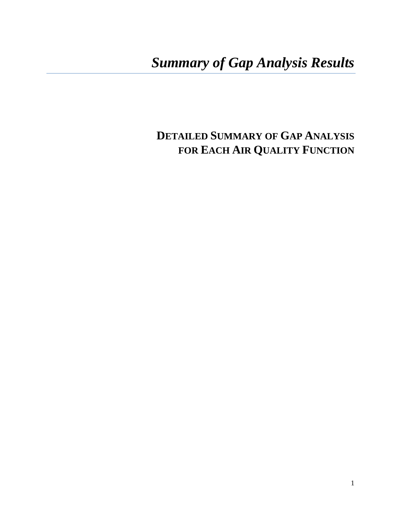## *Summary of Gap Analysis Results*

## **DETAILED SUMMARY OF GAP ANALYSIS FOR EACH AIR QUALITY FUNCTION**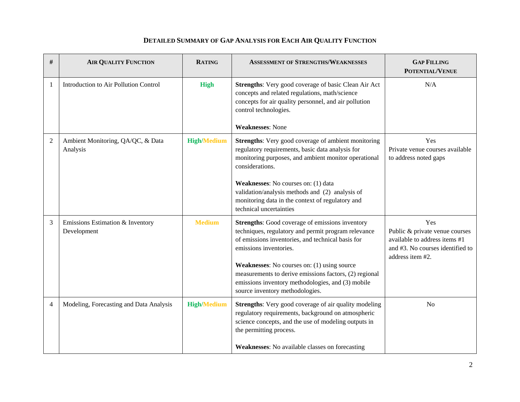| #              | <b>AIR QUALITY FUNCTION</b>                     | <b>RATING</b>      | <b>ASSESSMENT OF STRENGTHS/WEAKNESSES</b>                                                                                                                                                                                                                                                             | <b>GAP FILLING</b><br><b>POTENTIAL/VENUE</b>                                                                                   |
|----------------|-------------------------------------------------|--------------------|-------------------------------------------------------------------------------------------------------------------------------------------------------------------------------------------------------------------------------------------------------------------------------------------------------|--------------------------------------------------------------------------------------------------------------------------------|
| 1              | Introduction to Air Pollution Control           | <b>High</b>        | Strengths: Very good coverage of basic Clean Air Act<br>concepts and related regulations, math/science<br>concepts for air quality personnel, and air pollution<br>control technologies.                                                                                                              | N/A                                                                                                                            |
|                |                                                 |                    | <b>Weaknesses: None</b>                                                                                                                                                                                                                                                                               |                                                                                                                                |
| $\overline{c}$ | Ambient Monitoring, QA/QC, & Data<br>Analysis   | <b>High/Medium</b> | <b>Strengths:</b> Very good coverage of ambient monitoring<br>regulatory requirements, basic data analysis for<br>monitoring purposes, and ambient monitor operational<br>considerations.                                                                                                             | Yes<br>Private venue courses available<br>to address noted gaps                                                                |
|                |                                                 |                    | Weaknesses: No courses on: (1) data<br>validation/analysis methods and (2) analysis of<br>monitoring data in the context of regulatory and<br>technical uncertainties                                                                                                                                 |                                                                                                                                |
| 3              | Emissions Estimation & Inventory<br>Development | <b>Medium</b>      | <b>Strengths:</b> Good coverage of emissions inventory<br>techniques, regulatory and permit program relevance<br>of emissions inventories, and technical basis for<br>emissions inventories.<br>Weaknesses: No courses on: (1) using source<br>measurements to derive emissions factors, (2) regional | Yes<br>Public & private venue courses<br>available to address items #1<br>and #3. No courses identified to<br>address item #2. |
|                |                                                 |                    | emissions inventory methodologies, and (3) mobile<br>source inventory methodologies.                                                                                                                                                                                                                  |                                                                                                                                |
| 4              | Modeling, Forecasting and Data Analysis         | <b>High/Medium</b> | <b>Strengths:</b> Very good coverage of air quality modeling<br>regulatory requirements, background on atmospheric<br>science concepts, and the use of modeling outputs in<br>the permitting process.                                                                                                 | N <sub>o</sub>                                                                                                                 |
|                |                                                 |                    | <b>Weaknesses:</b> No available classes on forecasting                                                                                                                                                                                                                                                |                                                                                                                                |

#### **DETAILED SUMMARY OF GAP ANALYSIS FOR EACH AIR QUALITY FUNCTION**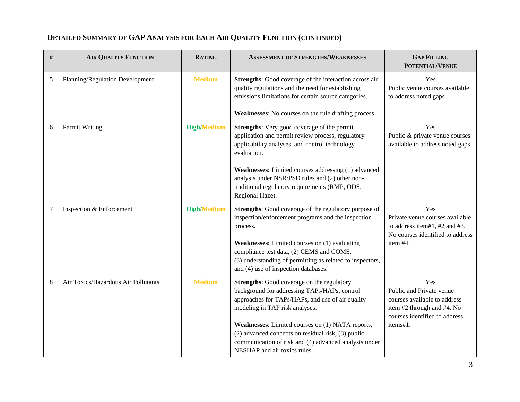| $\#$   | <b>AIR QUALITY FUNCTION</b>         | <b>RATING</b>      | <b>ASSESSMENT OF STRENGTHS/WEAKNESSES</b>                                                                                                                                                                                                                                                                                                                                                  | <b>GAP FILLING</b><br>POTENTIAL/VENUE                                                                                                      |
|--------|-------------------------------------|--------------------|--------------------------------------------------------------------------------------------------------------------------------------------------------------------------------------------------------------------------------------------------------------------------------------------------------------------------------------------------------------------------------------------|--------------------------------------------------------------------------------------------------------------------------------------------|
| 5      | Planning/Regulation Development     | <b>Medium</b>      | Strengths: Good coverage of the interaction across air<br>quality regulations and the need for establishing<br>emissions limitations for certain source categories.<br>Weaknesses: No courses on the rule drafting process.                                                                                                                                                                | Yes<br>Public venue courses available<br>to address noted gaps                                                                             |
| 6      | Permit Writing                      | <b>High/Medium</b> | Strengths: Very good coverage of the permit<br>application and permit review process, regulatory<br>applicability analyses, and control technology<br>evaluation.<br>Weaknesses: Limited courses addressing (1) advanced<br>analysis under NSR/PSD rules and (2) other non-<br>traditional regulatory requirements (RMP, ODS,<br>Regional Haze).                                           | Yes<br>Public & private venue courses<br>available to address noted gaps                                                                   |
| $\tau$ | Inspection & Enforcement            | <b>High/Medium</b> | Strengths: Good coverage of the regulatory purpose of<br>inspection/enforcement programs and the inspection<br>process.<br>Weaknesses: Limited courses on (1) evaluating<br>compliance test data, (2) CEMS and COMS,<br>(3) understanding of permitting as related to inspectors,<br>and (4) use of inspection databases.                                                                  | Yes<br>Private venue courses available<br>to address item#1, #2 and #3.<br>No courses identified to address<br>item #4.                    |
| 8      | Air Toxics/Hazardous Air Pollutants | <b>Medium</b>      | <b>Strengths:</b> Good coverage on the regulatory<br>background for addressing TAPs/HAPs, control<br>approaches for TAPs/HAPs, and use of air quality<br>modeling in TAP risk analyses.<br>Weaknesses: Limited courses on (1) NATA reports,<br>(2) advanced concepts on residual risk, (3) public<br>communication of risk and (4) advanced analysis under<br>NESHAP and air toxics rules. | Yes<br>Public and Private venue<br>courses available to address<br>item #2 through and #4. No<br>courses identified to address<br>items#1. |

#### **DETAILED SUMMARY OF GAP ANALYSIS FOR EACH AIR QUALITY FUNCTION (CONTINUED)**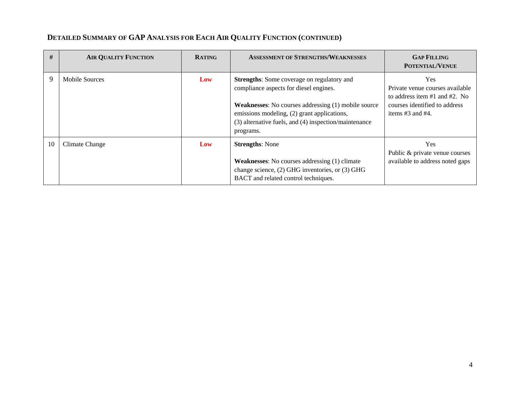| #  | <b>AIR QUALITY FUNCTION</b> | <b>RATING</b> | <b>ASSESSMENT OF STRENGTHS/WEAKNESSES</b>                                                                                                                                                                                                                               | <b>GAP FILLING</b><br>POTENTIAL/VENUE                                                                                                         |
|----|-----------------------------|---------------|-------------------------------------------------------------------------------------------------------------------------------------------------------------------------------------------------------------------------------------------------------------------------|-----------------------------------------------------------------------------------------------------------------------------------------------|
| 9  | <b>Mobile Sources</b>       | Low           | Strengths: Some coverage on regulatory and<br>compliance aspects for diesel engines.<br><b>Weaknesses:</b> No courses addressing (1) mobile source<br>emissions modeling, (2) grant applications,<br>(3) alternative fuels, and (4) inspection/maintenance<br>programs. | <b>Yes</b><br>Private venue courses available<br>to address item $#1$ and $#2$ . No<br>courses identified to address<br>items $#3$ and $#4$ . |
| 10 | Climate Change              | Low           | <b>Strengths: None</b><br><b>Weaknesses:</b> No courses addressing (1) climate<br>change science, (2) GHG inventories, or (3) GHG<br>BACT and related control techniques.                                                                                               | Yes.<br>Public & private venue courses<br>available to address noted gaps                                                                     |

#### **DETAILED SUMMARY OF GAP ANALYSIS FOR EACH AIR QUALITY FUNCTION (CONTINUED)**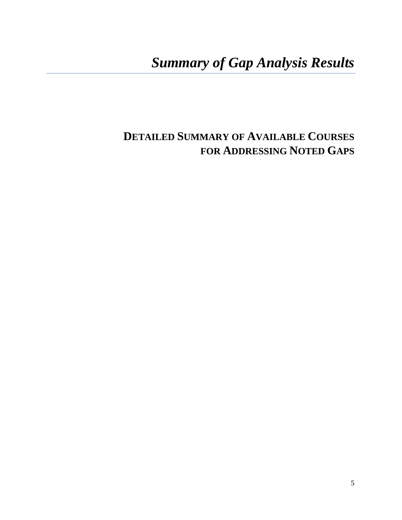## *Summary of Gap Analysis Results*

## **DETAILED SUMMARY OF AVAILABLE COURSES FOR ADDRESSING NOTED GAPS**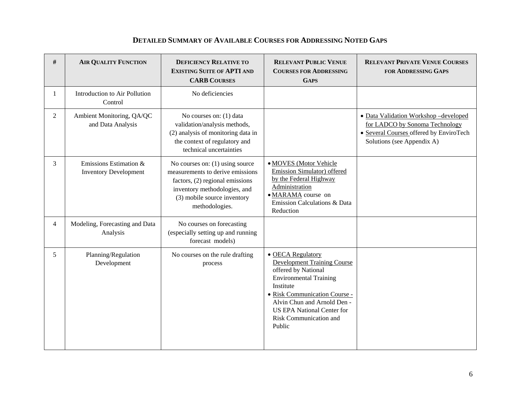#### **DETAILED SUMMARY OF AVAILABLE COURSES FOR ADDRESSING NOTED GAPS**

| #              | <b>AIR QUALITY FUNCTION</b>                            | <b>DEFICIENCY RELATIVE TO</b><br><b>EXISTING SUITE OF APTI AND</b><br><b>CARB COURSES</b>                                                                                                 | <b>RELEVANT PUBLIC VENUE</b><br><b>COURSES FOR ADDRESSING</b><br><b>GAPS</b>                                                                                                                                                                                          | <b>RELEVANT PRIVATE VENUE COURSES</b><br><b>FOR ADDRESSING GAPS</b>                                                                             |
|----------------|--------------------------------------------------------|-------------------------------------------------------------------------------------------------------------------------------------------------------------------------------------------|-----------------------------------------------------------------------------------------------------------------------------------------------------------------------------------------------------------------------------------------------------------------------|-------------------------------------------------------------------------------------------------------------------------------------------------|
| 1              | Introduction to Air Pollution<br>Control               | No deficiencies                                                                                                                                                                           |                                                                                                                                                                                                                                                                       |                                                                                                                                                 |
| 2              | Ambient Monitoring, QA/QC<br>and Data Analysis         | No courses on: (1) data<br>validation/analysis methods,<br>(2) analysis of monitoring data in<br>the context of regulatory and<br>technical uncertainties                                 |                                                                                                                                                                                                                                                                       | • Data Validation Workshop-developed<br>for LADCO by Sonoma Technology<br>• Several Courses offered by EnviroTech<br>Solutions (see Appendix A) |
| 3              | Emissions Estimation &<br><b>Inventory Development</b> | No courses on: (1) using source<br>measurements to derive emissions<br>factors, $(2)$ regional emissions<br>inventory methodologies, and<br>(3) mobile source inventory<br>methodologies. | • MOVES (Motor Vehicle<br>Emission Simulator) offered<br>by the Federal Highway<br>Administration<br>· MARAMA course on<br>Emission Calculations & Data<br>Reduction                                                                                                  |                                                                                                                                                 |
| $\overline{4}$ | Modeling, Forecasting and Data<br>Analysis             | No courses on forecasting<br>(especially setting up and running<br>forecast models)                                                                                                       |                                                                                                                                                                                                                                                                       |                                                                                                                                                 |
| 5              | Planning/Regulation<br>Development                     | No courses on the rule drafting<br>process                                                                                                                                                | • OECA Regulatory<br><b>Development Training Course</b><br>offered by National<br><b>Environmental Training</b><br>Institute<br>· Risk Communication Course -<br>Alvin Chun and Arnold Den -<br><b>US EPA National Center for</b><br>Risk Communication and<br>Public |                                                                                                                                                 |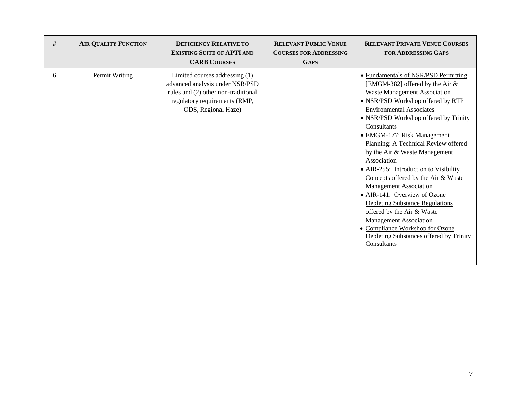| $\#$ | <b>AIR QUALITY FUNCTION</b> | <b>DEFICIENCY RELATIVE TO</b><br><b>EXISTING SUITE OF APTI AND</b><br><b>CARB COURSES</b>                                                                        | <b>RELEVANT PUBLIC VENUE</b><br><b>COURSES FOR ADDRESSING</b><br><b>GAPS</b> | <b>RELEVANT PRIVATE VENUE COURSES</b><br><b>FOR ADDRESSING GAPS</b>                                                                                                                                                                                                                                                                                                                                                                                                                                                                                                                                                                                                                                                   |
|------|-----------------------------|------------------------------------------------------------------------------------------------------------------------------------------------------------------|------------------------------------------------------------------------------|-----------------------------------------------------------------------------------------------------------------------------------------------------------------------------------------------------------------------------------------------------------------------------------------------------------------------------------------------------------------------------------------------------------------------------------------------------------------------------------------------------------------------------------------------------------------------------------------------------------------------------------------------------------------------------------------------------------------------|
| 6    | Permit Writing              | Limited courses addressing (1)<br>advanced analysis under NSR/PSD<br>rules and (2) other non-traditional<br>regulatory requirements (RMP,<br>ODS, Regional Haze) |                                                                              | • Fundamentals of NSR/PSD Permitting<br>[EMGM-382] offered by the Air &<br>Waste Management Association<br>• NSR/PSD Workshop offered by RTP<br><b>Environmental Associates</b><br>• NSR/PSD Workshop offered by Trinity<br>Consultants<br>• EMGM-177: Risk Management<br>Planning: A Technical Review offered<br>by the Air & Waste Management<br>Association<br>• AIR-255: Introduction to Visibility<br>Concepts offered by the Air & Waste<br><b>Management Association</b><br>• AIR-141: Overview of Ozone<br><b>Depleting Substance Regulations</b><br>offered by the Air & Waste<br><b>Management Association</b><br>• Compliance Workshop for Ozone<br>Depleting Substances offered by Trinity<br>Consultants |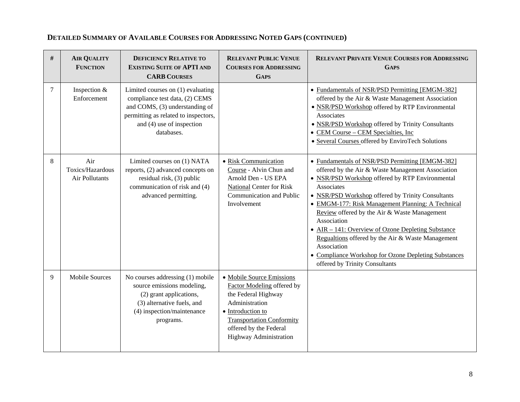| #      | <b>AIR QUALITY</b><br><b>FUNCTION</b>     | <b>DEFICIENCY RELATIVE TO</b><br><b>EXISTING SUITE OF APTI AND</b><br><b>CARB COURSES</b>                                                                                                | <b>RELEVANT PUBLIC VENUE</b><br><b>COURSES FOR ADDRESSING</b><br><b>GAPS</b>                                                                                                                                  | <b>RELEVANT PRIVATE VENUE COURSES FOR ADDRESSING</b><br><b>GAPS</b>                                                                                                                                                                                                                                                                                                                                                                                                                                                                                                |
|--------|-------------------------------------------|------------------------------------------------------------------------------------------------------------------------------------------------------------------------------------------|---------------------------------------------------------------------------------------------------------------------------------------------------------------------------------------------------------------|--------------------------------------------------------------------------------------------------------------------------------------------------------------------------------------------------------------------------------------------------------------------------------------------------------------------------------------------------------------------------------------------------------------------------------------------------------------------------------------------------------------------------------------------------------------------|
| $\tau$ | Inspection &<br>Enforcement               | Limited courses on (1) evaluating<br>compliance test data, (2) CEMS<br>and COMS, (3) understanding of<br>permitting as related to inspectors,<br>and (4) use of inspection<br>databases. |                                                                                                                                                                                                               | • Fundamentals of NSR/PSD Permitting [EMGM-382]<br>offered by the Air & Waste Management Association<br>• NSR/PSD Workshop offered by RTP Environmental<br>Associates<br>• NSR/PSD Workshop offered by Trinity Consultants<br>• CEM Course – CEM Specialties, Inc.<br>• Several Courses offered by EnviroTech Solutions                                                                                                                                                                                                                                            |
| 8      | Air<br>Toxics/Hazardous<br>Air Pollutants | Limited courses on (1) NATA<br>reports, (2) advanced concepts on<br>residual risk, (3) public<br>communication of risk and (4)<br>advanced permitting.                                   | · Risk Communication<br>Course - Alvin Chun and<br>Arnold Den - US EPA<br>National Center for Risk<br>Communication and Public<br>Involvement                                                                 | • Fundamentals of NSR/PSD Permitting [EMGM-382]<br>offered by the Air & Waste Management Association<br>• NSR/PSD Workshop offered by RTP Environmental<br>Associates<br>• NSR/PSD Workshop offered by Trinity Consultants<br>• EMGM-177: Risk Management Planning: A Technical<br>Review offered by the Air & Waste Management<br>Association<br>• AIR – 141: Overview of Ozone Depleting Substance<br>Regualtions offered by the Air & Waste Management<br>Association<br>• Compliance Workshop for Ozone Depleting Substances<br>offered by Trinity Consultants |
| 9      | <b>Mobile Sources</b>                     | No courses addressing (1) mobile<br>source emissions modeling,<br>(2) grant applications,<br>(3) alternative fuels, and<br>(4) inspection/maintenance<br>programs.                       | • Mobile Source Emissions<br>Factor Modeling offered by<br>the Federal Highway<br>Administration<br>• Introduction to<br><b>Transportation Conformity</b><br>offered by the Federal<br>Highway Administration |                                                                                                                                                                                                                                                                                                                                                                                                                                                                                                                                                                    |

## **DETAILED SUMMARY OF AVAILABLE COURSES FOR ADDRESSING NOTED GAPS (CONTINUED)**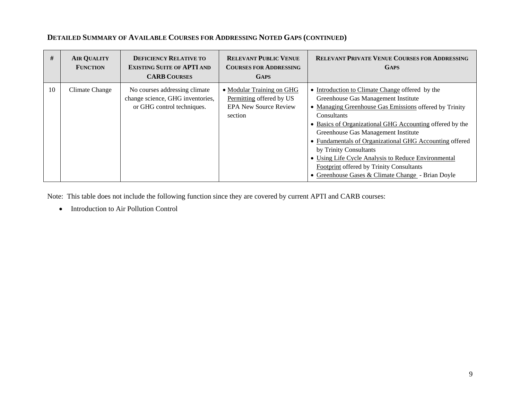| #  | <b>AIR QUALITY</b><br><b>FUNCTION</b> | <b>DEFICIENCY RELATIVE TO</b><br><b>EXISTING SUITE OF APTI AND</b><br><b>CARB COURSES</b>       | <b>RELEVANT PUBLIC VENUE</b><br><b>COURSES FOR ADDRESSING</b><br><b>GAPS</b>                     | <b>RELEVANT PRIVATE VENUE COURSES FOR ADDRESSING</b><br><b>GAPS</b>                                                                                                                                                                                                                                                                                                                                                                                                                                                    |
|----|---------------------------------------|-------------------------------------------------------------------------------------------------|--------------------------------------------------------------------------------------------------|------------------------------------------------------------------------------------------------------------------------------------------------------------------------------------------------------------------------------------------------------------------------------------------------------------------------------------------------------------------------------------------------------------------------------------------------------------------------------------------------------------------------|
| 10 | Climate Change                        | No courses addressing climate<br>change science, GHG inventories,<br>or GHG control techniques. | • Modular Training on GHG<br>Permitting offered by US<br><b>EPA New Source Review</b><br>section | • Introduction to Climate Change offered by the<br>Greenhouse Gas Management Institute<br>• Managing Greenhouse Gas Emissions offered by Trinity<br>Consultants<br>• Basics of Organizational GHG Accounting offered by the<br>Greenhouse Gas Management Institute<br>• Fundamentals of Organizational GHG Accounting offered<br>by Trinity Consultants<br>• Using Life Cycle Analysis to Reduce Environmental<br><b>Footprint offered by Trinity Consultants</b><br>• Greenhouse Gases & Climate Change - Brian Doyle |

#### **DETAILED SUMMARY OF AVAILABLE COURSES FOR ADDRESSING NOTED GAPS (CONTINUED)**

Note: This table does not include the following function since they are covered by current APTI and CARB courses:

• Introduction to Air Pollution Control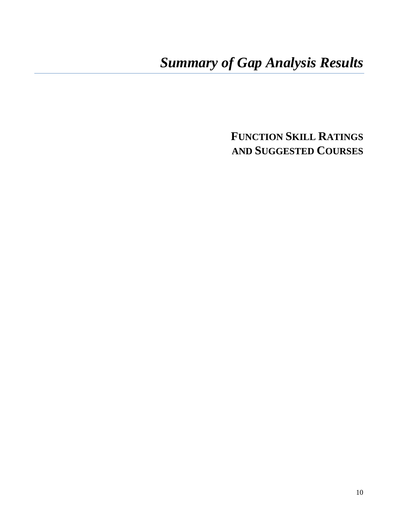## *Summary of Gap Analysis Results*

**FUNCTION SKILL RATINGS AND SUGGESTED COURSES**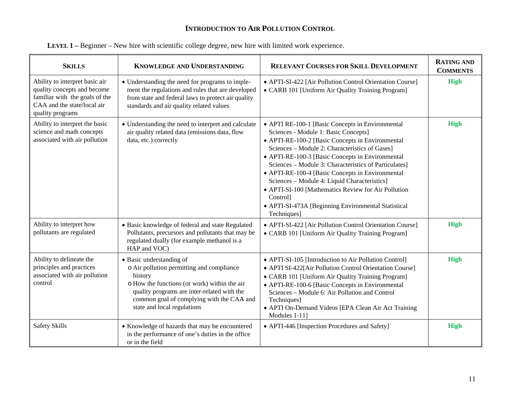#### **INTRODUCTION TO AIR POLLUTION CONTROL**

| <b>SKILLS</b>                                                                                                                                      | <b>KNOWLEDGE AND UNDERSTANDING</b>                                                                                                                                                                                                                          | <b>RELEVANT COURSES FOR SKILL DEVELOPMENT</b>                                                                                                                                                                                                                                                                                                                                                                                                                                                                                                            | <b>RATING AND</b><br><b>COMMENTS</b> |
|----------------------------------------------------------------------------------------------------------------------------------------------------|-------------------------------------------------------------------------------------------------------------------------------------------------------------------------------------------------------------------------------------------------------------|----------------------------------------------------------------------------------------------------------------------------------------------------------------------------------------------------------------------------------------------------------------------------------------------------------------------------------------------------------------------------------------------------------------------------------------------------------------------------------------------------------------------------------------------------------|--------------------------------------|
| Ability to interpret basic air<br>quality concepts and become<br>familiar with the goals of the<br>CAA and the state/local air<br>quality programs | • Understanding the need for programs to imple-<br>ment the regulations and rules that are developed<br>from state and federal laws to protect air quality<br>standards and air quality related values                                                      | • APTI-SI-422 [Air Pollution Control Orientation Course]<br>• CARB 101 [Uniform Air Quality Training Program]                                                                                                                                                                                                                                                                                                                                                                                                                                            | <b>High</b>                          |
| Ability to interpret the basic<br>science and math concepts<br>associated with air pollution                                                       | • Understanding the need to interpret and calculate<br>air quality related data (emissions data, flow<br>data, etc.) correctly                                                                                                                              | • APTI RE-100-1 [Basic Concepts in Environmental<br>Sciences - Module 1: Basic Concepts]<br>• APTI-RE-100-2 [Basic Concepts in Environmental<br>Sciences - Module 2: Characteristics of Gases]<br>• APTI-RE-100-3 [Basic Concepts in Environmental<br>Sciences - Module 3: Characteristics of Particulates]<br>• APTI-RE-100-4 [Basic Concepts in Environmental<br>Sciences - Module 4: Liquid Characteristics]<br>• APTI-SI-100 [Mathematics Review for Air Pollution<br>Control]<br>• APTI-SI-473A [Beginning Environmental Statistical<br>Techniques] | <b>High</b>                          |
| Ability to interpret how<br>pollutants are regulated                                                                                               | · Basic knowledge of federal and state Regulated<br>Pollutants, precursors and pollutants that may be<br>regulated dually (for example methanol is a<br>HAP and VOC)                                                                                        | • APTI-SI-422 [Air Pollution Control Orientation Course]<br>• CARB 101 [Uniform Air Quality Training Program]                                                                                                                                                                                                                                                                                                                                                                                                                                            | <b>High</b>                          |
| Ability to delineate the<br>principles and practices<br>associated with air pollution<br>control                                                   | • Basic understanding of<br>o Air pollution permitting and compliance<br>history<br>o How the functions (or work) within the air<br>quality programs are inter-related with the<br>common goal of complying with the CAA and<br>state and local regulations | • APTI-SI-105 [Introduction to Air Pollution Control]<br>• APTI SI-422[Air Pollution Control Orientation Course]<br>• CARB 101 [Uniform Air Quality Training Program]<br>• APTI-RE-100-6 [Basic Concepts in Environmental<br>Sciences - Module 6: Air Pollution and Control<br>Techniques]<br>• APTI On-Demand Videos [EPA Clean Air Act Training<br>Modules 1-11]                                                                                                                                                                                       | <b>High</b>                          |
| <b>Safety Skills</b>                                                                                                                               | • Knowledge of hazards that may be encountered<br>in the performance of one's duties in the office<br>or in the field                                                                                                                                       | • APTI-446 [Inspection Procedures and Safety]                                                                                                                                                                                                                                                                                                                                                                                                                                                                                                            | <b>High</b>                          |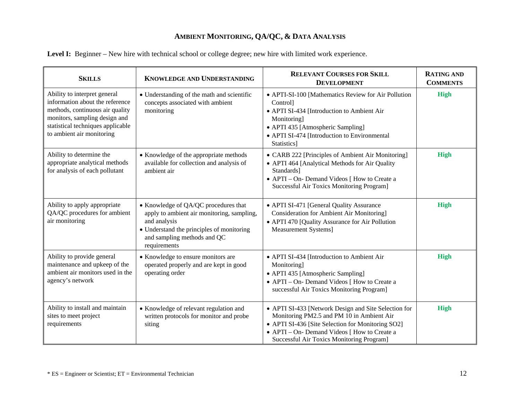| <b>SKILLS</b>                                                                                                                                                                                         | KNOWLEDGE AND UNDERSTANDING                                                                                                                                                                    | <b>RELEVANT COURSES FOR SKILL</b><br><b>DEVELOPMENT</b>                                                                                                                                                                                                    | <b>RATING AND</b><br><b>COMMENTS</b> |
|-------------------------------------------------------------------------------------------------------------------------------------------------------------------------------------------------------|------------------------------------------------------------------------------------------------------------------------------------------------------------------------------------------------|------------------------------------------------------------------------------------------------------------------------------------------------------------------------------------------------------------------------------------------------------------|--------------------------------------|
| Ability to interpret general<br>information about the reference<br>methods, continuous air quality<br>monitors, sampling design and<br>statistical techniques applicable<br>to ambient air monitoring | • Understanding of the math and scientific<br>concepts associated with ambient<br>monitoring                                                                                                   | • APTI-SI-100 [Mathematics Review for Air Pollution<br><b>Control</b><br>• APTI SI-434 [Introduction to Ambient Air<br>Monitoring]<br>• APTI 435 [Atmospheric Sampling]<br>• APTI SI-474 [Introduction to Environmental<br>Statistics]                     | <b>High</b>                          |
| Ability to determine the<br>appropriate analytical methods<br>for analysis of each pollutant                                                                                                          | • Knowledge of the appropriate methods<br>available for collection and analysis of<br>ambient air                                                                                              | • CARB 222 [Principles of Ambient Air Monitoring]<br>• APTI 464 [Analytical Methods for Air Quality<br>Standards]<br>• APTI – On- Demand Videos [ How to Create a<br><b>Successful Air Toxics Monitoring Program]</b>                                      | <b>High</b>                          |
| Ability to apply appropriate<br>QA/QC procedures for ambient<br>air monitoring                                                                                                                        | • Knowledge of QA/QC procedures that<br>apply to ambient air monitoring, sampling,<br>and analysis<br>• Understand the principles of monitoring<br>and sampling methods and QC<br>requirements | • APTI SI-471 [General Quality Assurance<br><b>Consideration for Ambient Air Monitoring</b><br>• APTI 470 [Quality Assurance for Air Pollution<br>Measurement Systems]                                                                                     | <b>High</b>                          |
| Ability to provide general<br>maintenance and upkeep of the<br>ambient air monitors used in the<br>agency's network                                                                                   | • Knowledge to ensure monitors are<br>operated properly and are kept in good<br>operating order                                                                                                | • APTI SI-434 [Introduction to Ambient Air<br>Monitoring]<br>• APTI 435 [Atmospheric Sampling]<br>• APTI – On- Demand Videos [ How to Create a<br>successful Air Toxics Monitoring Program]                                                                | <b>High</b>                          |
| Ability to install and maintain<br>sites to meet project<br>requirements                                                                                                                              | • Knowledge of relevant regulation and<br>written protocols for monitor and probe<br>siting                                                                                                    | • APTI SI-433 [Network Design and Site Selection for<br>Monitoring PM2.5 and PM 10 in Ambient Air<br>• APTI SI-436 [Site Selection for Monitoring SO2]<br>• APTI – On- Demand Videos [ How to Create a<br><b>Successful Air Toxics Monitoring Program]</b> | <b>High</b>                          |

|  |  |  |  | Level I: Beginner – New hire with technical school or college degree; new hire with limited work experience. |
|--|--|--|--|--------------------------------------------------------------------------------------------------------------|
|  |  |  |  |                                                                                                              |
|  |  |  |  |                                                                                                              |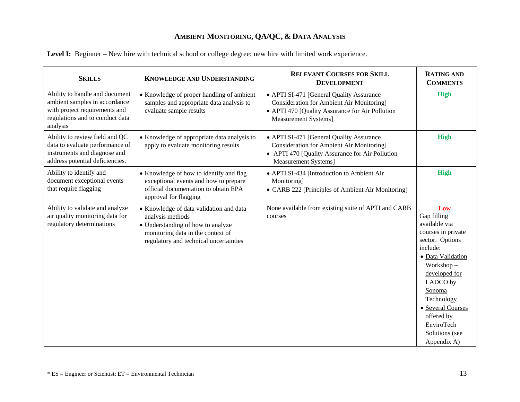| <b>SKILLS</b>                                                                                                                                   | <b>KNOWLEDGE AND UNDERSTANDING</b>                                                                                                                                              | <b>RELEVANT COURSES FOR SKILL</b><br><b>DEVELOPMENT</b>                                                                                                                | <b>RATING AND</b><br><b>COMMENTS</b>                                                                                                                                                                                                                                 |
|-------------------------------------------------------------------------------------------------------------------------------------------------|---------------------------------------------------------------------------------------------------------------------------------------------------------------------------------|------------------------------------------------------------------------------------------------------------------------------------------------------------------------|----------------------------------------------------------------------------------------------------------------------------------------------------------------------------------------------------------------------------------------------------------------------|
| Ability to handle and document<br>ambient samples in accordance<br>with project requirements and<br>regulations and to conduct data<br>analysis | • Knowledge of proper handling of ambient<br>samples and appropriate data analysis to<br>evaluate sample results                                                                | • APTI SI-471 [General Quality Assurance<br>Consideration for Ambient Air Monitoring]<br>• APTI 470 [Quality Assurance for Air Pollution<br>Measurement Systems]       | <b>High</b>                                                                                                                                                                                                                                                          |
| Ability to review field and QC<br>data to evaluate performance of<br>instruments and diagnose and<br>address potential deficiencies.            | • Knowledge of appropriate data analysis to<br>apply to evaluate monitoring results                                                                                             | • APTI SI-471 [General Quality Assurance<br><b>Consideration for Ambient Air Monitoring</b><br>• APTI 470 [Quality Assurance for Air Pollution<br>Measurement Systems] | <b>High</b>                                                                                                                                                                                                                                                          |
| Ability to identify and<br>document exceptional events<br>that require flagging                                                                 | • Knowledge of how to identify and flag<br>exceptional events and how to prepare<br>official documentation to obtain EPA<br>approval for flagging                               | • APTI SI-434 [Introduction to Ambient Air<br>Monitoring]<br>• CARB 222 [Principles of Ambient Air Monitoring]                                                         | <b>High</b>                                                                                                                                                                                                                                                          |
| Ability to validate and analyze<br>air quality monitoring data for<br>regulatory determinations                                                 | • Knowledge of data validation and data<br>analysis methods<br>• Understanding of how to analyze<br>monitoring data in the context of<br>regulatory and technical uncertainties | None available from existing suite of APTI and CARB<br>courses                                                                                                         | Low<br>Gap filling<br>available via<br>courses in private<br>sector. Options<br>include:<br>· Data Validation<br>$Workshop -$<br>developed for<br>LADCO by<br>Sonoma<br>Technology<br>· Several Courses<br>offered by<br>EnviroTech<br>Solutions (see<br>Appendix A) |

Level I: Beginner – New hire with technical school or college degree; new hire with limited work experience.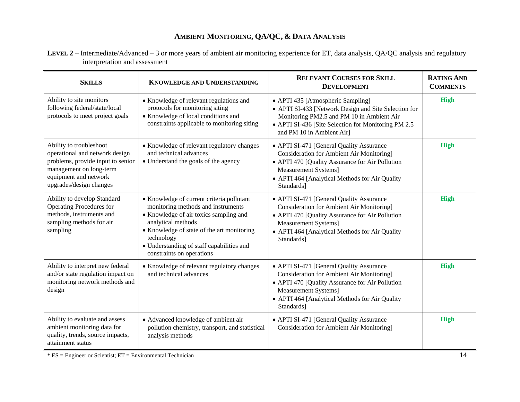**LEVEL 2** – Intermediate/Advanced – 3 or more years of ambient air monitoring experience for ET, data analysis, QA/QC analysis and regulatory interpretation and assessment

| <b>SKILLS</b>                                                                                                                                                                 | <b>KNOWLEDGE AND UNDERSTANDING</b>                                                                                                                                                                                                                                                    | <b>RELEVANT COURSES FOR SKILL</b><br><b>DEVELOPMENT</b>                                                                                                                                                                                | <b>RATING AND</b><br><b>COMMENTS</b> |
|-------------------------------------------------------------------------------------------------------------------------------------------------------------------------------|---------------------------------------------------------------------------------------------------------------------------------------------------------------------------------------------------------------------------------------------------------------------------------------|----------------------------------------------------------------------------------------------------------------------------------------------------------------------------------------------------------------------------------------|--------------------------------------|
| Ability to site monitors<br>following federal/state/local<br>protocols to meet project goals                                                                                  | • Knowledge of relevant regulations and<br>protocols for monitoring siting<br>• Knowledge of local conditions and<br>constraints applicable to monitoring siting                                                                                                                      | • APTI 435 [Atmospheric Sampling]<br>• APTI SI-433 [Network Design and Site Selection for<br>Monitoring PM2.5 and PM 10 in Ambient Air<br>• APTI SI-436 [Site Selection for Monitoring PM 2.5<br>and PM 10 in Ambient Air]             | High                                 |
| Ability to troubleshoot<br>operational and network design<br>problems, provide input to senior<br>management on long-term<br>equipment and network<br>upgrades/design changes | • Knowledge of relevant regulatory changes<br>and technical advances<br>• Understand the goals of the agency                                                                                                                                                                          | • APTI SI-471 [General Quality Assurance<br><b>Consideration for Ambient Air Monitoring</b><br>• APTI 470 [Quality Assurance for Air Pollution<br>Measurement Systems]<br>• APTI 464 [Analytical Methods for Air Quality<br>Standards] | High                                 |
| Ability to develop Standard<br><b>Operating Procedures for</b><br>methods, instruments and<br>sampling methods for air<br>sampling                                            | • Knowledge of current criteria pollutant<br>monitoring methods and instruments<br>• Knowledge of air toxics sampling and<br>analytical methods<br>• Knowledge of state of the art monitoring<br>technology<br>• Understanding of staff capabilities and<br>constraints on operations | • APTI SI-471 [General Quality Assurance<br>Consideration for Ambient Air Monitoring]<br>• APTI 470 [Quality Assurance for Air Pollution<br>Measurement Systems]<br>• APTI 464 [Analytical Methods for Air Quality<br>Standards]       | High                                 |
| Ability to interpret new federal<br>and/or state regulation impact on<br>monitoring network methods and<br>design                                                             | • Knowledge of relevant regulatory changes<br>and technical advances                                                                                                                                                                                                                  | • APTI SI-471 [General Quality Assurance<br>Consideration for Ambient Air Monitoring]<br>• APTI 470 [Quality Assurance for Air Pollution<br>Measurement Systems]<br>• APTI 464 [Analytical Methods for Air Quality<br>Standards]       | High                                 |
| Ability to evaluate and assess<br>ambient monitoring data for<br>quality, trends, source impacts,<br>attainment status                                                        | • Advanced knowledge of ambient air<br>pollution chemistry, transport, and statistical<br>analysis methods                                                                                                                                                                            | • APTI SI-471 [General Quality Assurance<br><b>Consideration for Ambient Air Monitoring</b>                                                                                                                                            | High                                 |

\* ES = Engineer or Scientist; ET = Environmental Technician 14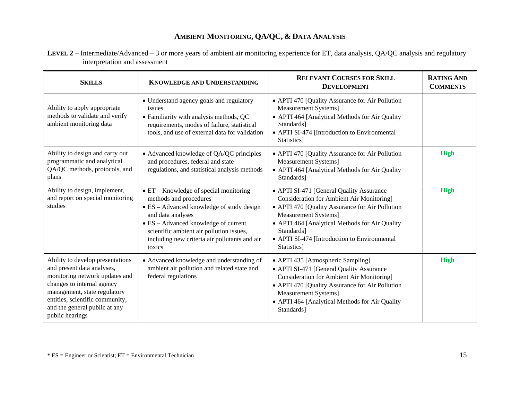|                               | LEVEL 2 – Intermediate/Advanced – 3 or more years of ambient air monitoring experience for ET, data analysis, QA/QC analysis and regulatory |  |
|-------------------------------|---------------------------------------------------------------------------------------------------------------------------------------------|--|
| interpretation and assessment |                                                                                                                                             |  |

| <b>SKILLS</b>                                                                                                                                                                                                                                         | KNOWLEDGE AND UNDERSTANDING                                                                                                                                                                                                                                                                       | <b>RELEVANT COURSES FOR SKILL</b><br><b>DEVELOPMENT</b>                                                                                                                                                                                                                                               | <b>RATING AND</b><br><b>COMMENTS</b> |
|-------------------------------------------------------------------------------------------------------------------------------------------------------------------------------------------------------------------------------------------------------|---------------------------------------------------------------------------------------------------------------------------------------------------------------------------------------------------------------------------------------------------------------------------------------------------|-------------------------------------------------------------------------------------------------------------------------------------------------------------------------------------------------------------------------------------------------------------------------------------------------------|--------------------------------------|
| Ability to apply appropriate<br>methods to validate and verify<br>ambient monitoring data                                                                                                                                                             | · Understand agency goals and regulatory<br>issues<br>• Familiarity with analysis methods, QC<br>requirements, modes of failure, statistical<br>tools, and use of external data for validation                                                                                                    | • APTI 470 [Quality Assurance for Air Pollution<br>Measurement Systems]<br>• APTI 464 [Analytical Methods for Air Quality<br>Standards]<br>• APTI SI-474 [Introduction to Environmental<br>Statistics]                                                                                                |                                      |
| Ability to design and carry out<br>programmatic and analytical<br>QA/QC methods, protocols, and<br>plans                                                                                                                                              | • Advanced knowledge of QA/QC principles<br>and procedures, federal and state<br>regulations, and statistical analysis methods                                                                                                                                                                    | • APTI 470 [Quality Assurance for Air Pollution<br>Measurement Systems]<br>• APTI 464 [Analytical Methods for Air Quality<br>Standards]                                                                                                                                                               | <b>High</b>                          |
| Ability to design, implement,<br>and report on special monitoring<br>studies                                                                                                                                                                          | $\bullet$ ET – Knowledge of special monitoring<br>methods and procedures<br>$\bullet$ ES – Advanced knowledge of study design<br>and data analyses<br>• ES - Advanced knowledge of current<br>scientific ambient air pollution issues,<br>including new criteria air pollutants and air<br>toxics | • APTI SI-471 [General Quality Assurance<br><b>Consideration for Ambient Air Monitoring</b><br>• APTI 470 [Quality Assurance for Air Pollution<br>Measurement Systems]<br>• APTI 464 [Analytical Methods for Air Quality<br>Standards]<br>• APTI SI-474 [Introduction to Environmental<br>Statistics] | <b>High</b>                          |
| Ability to develop presentations<br>and present data analyses,<br>monitoring network updates and<br>changes to internal agency<br>management, state regulatory<br>entities, scientific community,<br>and the general public at any<br>public hearings | • Advanced knowledge and understanding of<br>ambient air pollution and related state and<br>federal regulations                                                                                                                                                                                   | • APTI 435 [Atmospheric Sampling]<br>• APTI SI-471 [General Quality Assurance<br><b>Consideration for Ambient Air Monitoring</b><br>• APTI 470 [Quality Assurance for Air Pollution<br>Measurement Systems]<br>• APTI 464 [Analytical Methods for Air Quality<br>Standards]                           | <b>High</b>                          |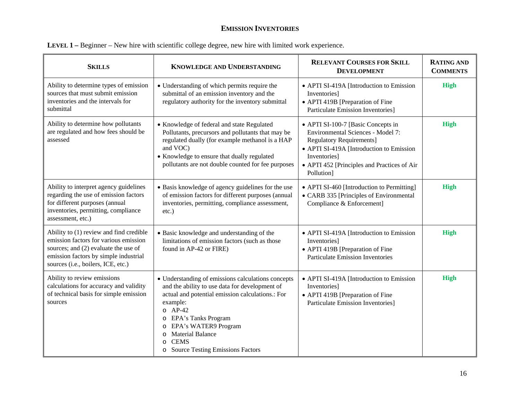#### **EMISSION INVENTORIES**

| <b>SKILLS</b>                                                                                                                                                                                           | <b>KNOWLEDGE AND UNDERSTANDING</b>                                                                                                                                                                                                                                                                              | <b>RELEVANT COURSES FOR SKILL</b><br><b>DEVELOPMENT</b>                                                                                                                                                                             | <b>RATING AND</b><br><b>COMMENTS</b> |
|---------------------------------------------------------------------------------------------------------------------------------------------------------------------------------------------------------|-----------------------------------------------------------------------------------------------------------------------------------------------------------------------------------------------------------------------------------------------------------------------------------------------------------------|-------------------------------------------------------------------------------------------------------------------------------------------------------------------------------------------------------------------------------------|--------------------------------------|
| Ability to determine types of emission<br>sources that must submit emission<br>inventories and the intervals for<br>submittal                                                                           | • Understanding of which permits require the<br>submittal of an emission inventory and the<br>regulatory authority for the inventory submittal                                                                                                                                                                  | • APTI SI-419A [Introduction to Emission<br>Inventories]<br>• APTI 419B [Preparation of Fine<br><b>Particulate Emission Inventories]</b>                                                                                            | <b>High</b>                          |
| Ability to determine how pollutants<br>are regulated and how fees should be<br>assessed                                                                                                                 | • Knowledge of federal and state Regulated<br>Pollutants, precursors and pollutants that may be<br>regulated dually (for example methanol is a HAP<br>and VOC)<br>• Knowledge to ensure that dually regulated<br>pollutants are not double counted for fee purposes                                             | • APTI SI-100-7 [Basic Concepts in<br>Environmental Sciences - Model 7:<br><b>Regulatory Requirements]</b><br>• APTI SI-419A [Introduction to Emission<br>Inventories]<br>• APTI 452 [Principles and Practices of Air<br>Pollution] | <b>High</b>                          |
| Ability to interpret agency guidelines<br>regarding the use of emission factors<br>for different purposes (annual<br>inventories, permitting, compliance<br>assessment, etc.)                           | • Basis knowledge of agency guidelines for the use<br>of emission factors for different purposes (annual<br>inventories, permitting, compliance assessment,<br>$etc.$ )                                                                                                                                         | • APTI SI-460 [Introduction to Permitting]<br>• CARB 335 [Principles of Environmental<br>Compliance & Enforcement]                                                                                                                  | <b>High</b>                          |
| Ability to (1) review and find credible<br>emission factors for various emission<br>sources; and (2) evaluate the use of<br>emission factors by simple industrial<br>sources (i.e., boilers, ICE, etc.) | • Basic knowledge and understanding of the<br>limitations of emission factors (such as those<br>found in AP-42 or FIRE)                                                                                                                                                                                         | • APTI SI-419A [Introduction to Emission<br>Inventories]<br>• APTI 419B [Preparation of Fine<br><b>Particulate Emission Inventories</b>                                                                                             | High                                 |
| Ability to review emissions<br>calculations for accuracy and validity<br>of technical basis for simple emission<br>sources                                                                              | • Understanding of emissions calculations concepts<br>and the ability to use data for development of<br>actual and potential emission calculations.: For<br>example:<br>$O$ AP-42<br>o EPA's Tanks Program<br>o EPA's WATER9 Program<br>o Material Balance<br><b>CEMS</b><br>o Source Testing Emissions Factors | • APTI SI-419A [Introduction to Emission<br>Inventories]<br>• APTI 419B [Preparation of Fine<br><b>Particulate Emission Inventories</b>                                                                                             | <b>High</b>                          |

| LEVEL 1 – Beginner – New hire with scientific college degree, new hire with limited work experience. |  |  |  |
|------------------------------------------------------------------------------------------------------|--|--|--|
|                                                                                                      |  |  |  |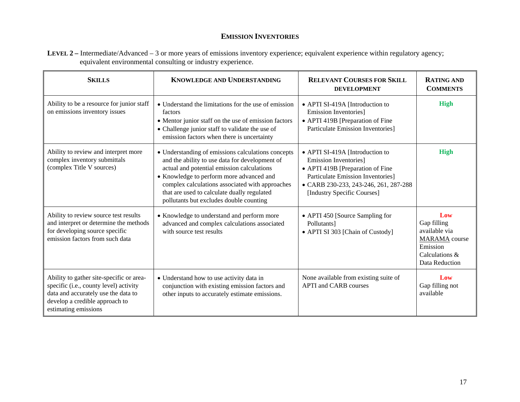#### **EMISSION INVENTORIES**

| LEVEL 2 – Intermediate/Advanced – 3 or more years of emissions inventory experience; equivalent experience within regulatory agency; |  |
|--------------------------------------------------------------------------------------------------------------------------------------|--|
| equivalent environmental consulting or industry experience.                                                                          |  |

| <b>SKILLS</b>                                                                                                                                                                       | <b>KNOWLEDGE AND UNDERSTANDING</b>                                                                                                                                                                                                                                                                                                          | <b>RELEVANT COURSES FOR SKILL</b><br><b>DEVELOPMENT</b>                                                                                                                                                                   | <b>RATING AND</b><br><b>COMMENTS</b>                                                                        |
|-------------------------------------------------------------------------------------------------------------------------------------------------------------------------------------|---------------------------------------------------------------------------------------------------------------------------------------------------------------------------------------------------------------------------------------------------------------------------------------------------------------------------------------------|---------------------------------------------------------------------------------------------------------------------------------------------------------------------------------------------------------------------------|-------------------------------------------------------------------------------------------------------------|
| Ability to be a resource for junior staff<br>on emissions inventory issues                                                                                                          | • Understand the limitations for the use of emission<br>factors<br>• Mentor junior staff on the use of emission factors<br>• Challenge junior staff to validate the use of<br>emission factors when there is uncertainty                                                                                                                    | • APTI SI-419A [Introduction to<br><b>Emission Inventories</b> ]<br>• APTI 419B [Preparation of Fine<br><b>Particulate Emission Inventories</b> ]                                                                         | <b>High</b>                                                                                                 |
| Ability to review and interpret more<br>complex inventory submittals<br>(complex Title V sources)                                                                                   | • Understanding of emissions calculations concepts<br>and the ability to use data for development of<br>actual and potential emission calculations<br>• Knowledge to perform more advanced and<br>complex calculations associated with approaches<br>that are used to calculate dually regulated<br>pollutants but excludes double counting | • APTI SI-419A [Introduction to<br><b>Emission Inventories</b> ]<br>• APTI 419B [Preparation of Fine<br><b>Particulate Emission Inventories</b> ]<br>• CARB 230-233, 243-246, 261, 287-288<br>[Industry Specific Courses] | <b>High</b>                                                                                                 |
| Ability to review source test results<br>and interpret or determine the methods<br>for developing source specific<br>emission factors from such data                                | • Knowledge to understand and perform more<br>advanced and complex calculations associated<br>with source test results                                                                                                                                                                                                                      | • APTI 450 [Source Sampling for<br>Pollutants]<br>• APTI SI 303 [Chain of Custody]                                                                                                                                        | Low<br>Gap filling<br>available via<br><b>MARAMA</b> course<br>Emission<br>Calculations &<br>Data Reduction |
| Ability to gather site-specific or area-<br>specific (i.e., county level) activity<br>data and accurately use the data to<br>develop a credible approach to<br>estimating emissions | • Understand how to use activity data in<br>conjunction with existing emission factors and<br>other inputs to accurately estimate emissions.                                                                                                                                                                                                | None available from existing suite of<br><b>APTI</b> and CARB courses                                                                                                                                                     | Low<br>Gap filling not<br>available                                                                         |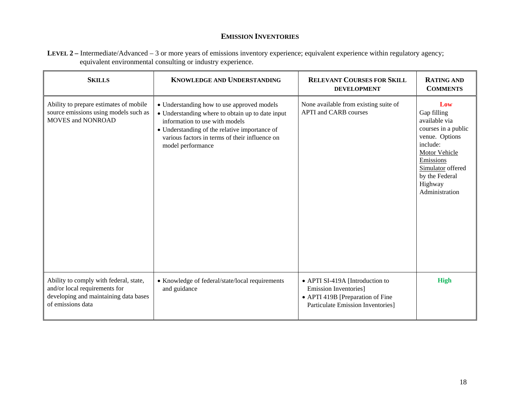#### **EMISSION INVENTORIES**

| LEVEL 2 – Intermediate/Advanced – 3 or more years of emissions inventory experience; equivalent experience within regulatory agency; |  |
|--------------------------------------------------------------------------------------------------------------------------------------|--|
| equivalent environmental consulting or industry experience.                                                                          |  |

| <b>SKILLS</b>                                                                                                                         | <b>KNOWLEDGE AND UNDERSTANDING</b>                                                                                                                                                                                                                       | <b>RELEVANT COURSES FOR SKILL</b><br><b>DEVELOPMENT</b>                                                                                         | <b>RATING AND</b><br><b>COMMENTS</b>                                                                                                                                                       |
|---------------------------------------------------------------------------------------------------------------------------------------|----------------------------------------------------------------------------------------------------------------------------------------------------------------------------------------------------------------------------------------------------------|-------------------------------------------------------------------------------------------------------------------------------------------------|--------------------------------------------------------------------------------------------------------------------------------------------------------------------------------------------|
| Ability to prepare estimates of mobile<br>source emissions using models such as<br><b>MOVES and NONROAD</b>                           | • Understanding how to use approved models<br>• Understanding where to obtain up to date input<br>information to use with models<br>• Understanding of the relative importance of<br>various factors in terms of their influence on<br>model performance | None available from existing suite of<br><b>APTI</b> and CARB courses                                                                           | Low<br>Gap filling<br>available via<br>courses in a public<br>venue. Options<br>include:<br>Motor Vehicle<br>Emissions<br>Simulator offered<br>by the Federal<br>Highway<br>Administration |
| Ability to comply with federal, state,<br>and/or local requirements for<br>developing and maintaining data bases<br>of emissions data | • Knowledge of federal/state/local requirements<br>and guidance                                                                                                                                                                                          | • APTI SI-419A [Introduction to<br><b>Emission Inventories</b> ]<br>• APTI 419B [Preparation of Fine<br><b>Particulate Emission Inventories</b> | <b>High</b>                                                                                                                                                                                |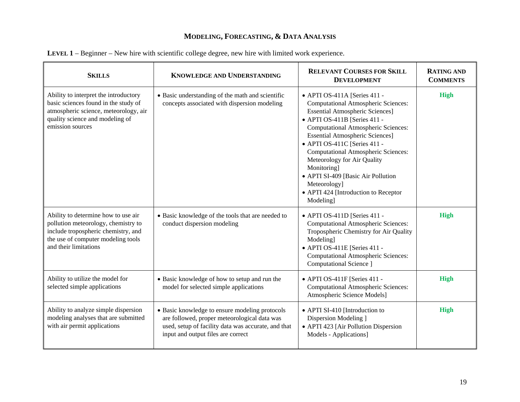| <b>SKILLS</b>                                                                                                                                                                    | <b>KNOWLEDGE AND UNDERSTANDING</b>                                                                                                                                                          | <b>RELEVANT COURSES FOR SKILL</b><br><b>DEVELOPMENT</b>                                                                                                                                                                                                                                                                                                                                                                                                                             | <b>RATING AND</b><br><b>COMMENTS</b> |
|----------------------------------------------------------------------------------------------------------------------------------------------------------------------------------|---------------------------------------------------------------------------------------------------------------------------------------------------------------------------------------------|-------------------------------------------------------------------------------------------------------------------------------------------------------------------------------------------------------------------------------------------------------------------------------------------------------------------------------------------------------------------------------------------------------------------------------------------------------------------------------------|--------------------------------------|
| Ability to interpret the introductory<br>basic sciences found in the study of<br>atmospheric science, meteorology, air<br>quality science and modeling of<br>emission sources    | • Basic understanding of the math and scientific<br>concepts associated with dispersion modeling                                                                                            | • APTI OS-411A [Series 411 -<br><b>Computational Atmospheric Sciences:</b><br><b>Essential Atmospheric Sciences]</b><br>• APTI OS-411B [Series 411 -<br><b>Computational Atmospheric Sciences:</b><br><b>Essential Atmospheric Sciences]</b><br>• APTI OS-411C [Series 411 -<br><b>Computational Atmospheric Sciences:</b><br>Meteorology for Air Quality<br>Monitoring]<br>• APTI SI-409 [Basic Air Pollution<br>Meteorology]<br>• APTI 424 [Introduction to Receptor<br>Modeling] | <b>High</b>                          |
| Ability to determine how to use air<br>pollution meteorology, chemistry to<br>include tropospheric chemistry, and<br>the use of computer modeling tools<br>and their limitations | • Basic knowledge of the tools that are needed to<br>conduct dispersion modeling                                                                                                            | • APTI OS-411D [Series 411 -<br><b>Computational Atmospheric Sciences:</b><br>Tropospheric Chemistry for Air Quality<br>Modeling]<br>• APTI OS-411E [Series 411 -<br><b>Computational Atmospheric Sciences:</b><br>Computational Science ]                                                                                                                                                                                                                                          | High                                 |
| Ability to utilize the model for<br>selected simple applications                                                                                                                 | • Basic knowledge of how to setup and run the<br>model for selected simple applications                                                                                                     | • APTI OS-411F [Series 411 -<br><b>Computational Atmospheric Sciences:</b><br>Atmospheric Science Models]                                                                                                                                                                                                                                                                                                                                                                           | High                                 |
| Ability to analyze simple dispersion<br>modeling analyses that are submitted<br>with air permit applications                                                                     | • Basic knowledge to ensure modeling protocols<br>are followed, proper meteorological data was<br>used, setup of facility data was accurate, and that<br>input and output files are correct | • APTI SI-410 [Introduction to<br>Dispersion Modeling ]<br>• APTI 423 [Air Pollution Dispersion<br>Models - Applications]                                                                                                                                                                                                                                                                                                                                                           | High                                 |

| LEVEL 1 – Beginner – New hire with scientific college degree, new hire with limited work experience. |  |
|------------------------------------------------------------------------------------------------------|--|
|------------------------------------------------------------------------------------------------------|--|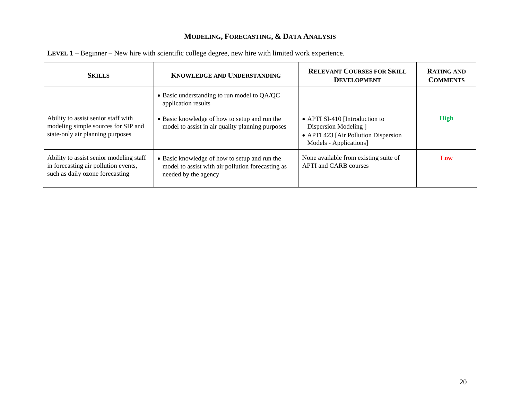| <b>SKILLS</b>                                                                                                      | KNOWLEDGE AND UNDERSTANDING                                                                                                | <b>RELEVANT COURSES FOR SKILL</b><br><b>DEVELOPMENT</b>                                                                   | <b>RATING AND</b><br><b>COMMENTS</b> |
|--------------------------------------------------------------------------------------------------------------------|----------------------------------------------------------------------------------------------------------------------------|---------------------------------------------------------------------------------------------------------------------------|--------------------------------------|
|                                                                                                                    | • Basic understanding to run model to QA/QC<br>application results                                                         |                                                                                                                           |                                      |
| Ability to assist senior staff with<br>modeling simple sources for SIP and<br>state-only air planning purposes     | • Basic knowledge of how to setup and run the<br>model to assist in air quality planning purposes                          | • APTI SI-410 [Introduction to<br>Dispersion Modeling ]<br>• APTI 423 [Air Pollution Dispersion<br>Models - Applications] | High                                 |
| Ability to assist senior modeling staff<br>in forecasting air pollution events,<br>such as daily ozone forecasting | • Basic knowledge of how to setup and run the<br>model to assist with air pollution forecasting as<br>needed by the agency | None available from existing suite of<br><b>APTI</b> and <b>CARB</b> courses                                              | Low                                  |

| LEVEL 1 – Beginner – New hire with scientific college degree, new hire with limited work experience. |  |  |
|------------------------------------------------------------------------------------------------------|--|--|
|------------------------------------------------------------------------------------------------------|--|--|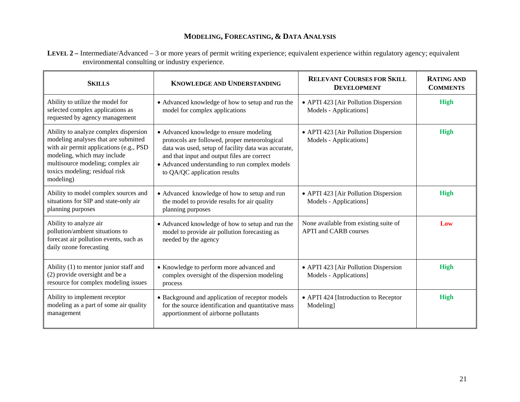**LEVEL 2** – Intermediate/Advanced – 3 or more years of permit writing experience; equivalent experience within regulatory agency; equivalent environmental consulting or industry experience.

| <b>SKILLS</b>                                                                                                                                                                                                                                | <b>KNOWLEDGE AND UNDERSTANDING</b>                                                                                                                                                                                                                                               | <b>RELEVANT COURSES FOR SKILL</b><br><b>DEVELOPMENT</b>               | <b>RATING AND</b><br><b>COMMENTS</b> |
|----------------------------------------------------------------------------------------------------------------------------------------------------------------------------------------------------------------------------------------------|----------------------------------------------------------------------------------------------------------------------------------------------------------------------------------------------------------------------------------------------------------------------------------|-----------------------------------------------------------------------|--------------------------------------|
| Ability to utilize the model for<br>selected complex applications as<br>requested by agency management                                                                                                                                       | • Advanced knowledge of how to setup and run the<br>model for complex applications                                                                                                                                                                                               | • APTI 423 [Air Pollution Dispersion<br>Models - Applications]        | High                                 |
| Ability to analyze complex dispersion<br>modeling analyses that are submitted<br>with air permit applications (e.g., PSD)<br>modeling, which may include<br>multisource modeling; complex air<br>toxics modeling; residual risk<br>modeling) | • Advanced knowledge to ensure modeling<br>protocols are followed, proper meteorological<br>data was used, setup of facility data was accurate,<br>and that input and output files are correct<br>• Advanced understanding to run complex models<br>to QA/QC application results | • APTI 423 [Air Pollution Dispersion<br>Models - Applications]        | <b>High</b>                          |
| Ability to model complex sources and<br>situations for SIP and state-only air<br>planning purposes                                                                                                                                           | • Advanced knowledge of how to setup and run<br>the model to provide results for air quality<br>planning purposes                                                                                                                                                                | • APTI 423 [Air Pollution Dispersion<br>Models - Applications]        | <b>High</b>                          |
| Ability to analyze air<br>pollution/ambient situations to<br>forecast air pollution events, such as<br>daily ozone forecasting                                                                                                               | • Advanced knowledge of how to setup and run the<br>model to provide air pollution forecasting as<br>needed by the agency                                                                                                                                                        | None available from existing suite of<br><b>APTI</b> and CARB courses | Low                                  |
| Ability (1) to mentor junior staff and<br>(2) provide oversight and be a<br>resource for complex modeling issues                                                                                                                             | • Knowledge to perform more advanced and<br>complex oversight of the dispersion modeling<br>process                                                                                                                                                                              | • APTI 423 [Air Pollution Dispersion<br>Models - Applications]        | <b>High</b>                          |
| Ability to implement receptor<br>modeling as a part of some air quality<br>management                                                                                                                                                        | • Background and application of receptor models<br>for the source identification and quantitative mass<br>apportionment of airborne pollutants                                                                                                                                   | • APTI 424 [Introduction to Receptor<br>Modeling]                     | <b>High</b>                          |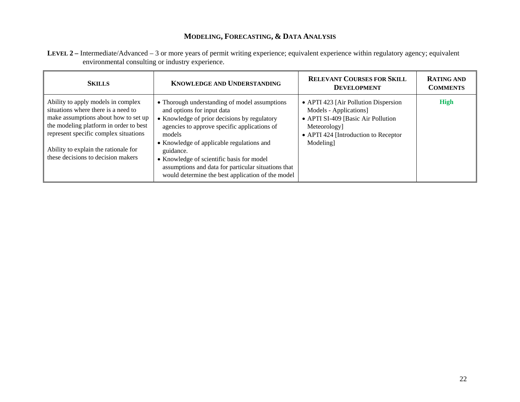| LEVEL 2 - Intermediate/Advanced - 3 or more years of permit writing experience; equivalent experience within regulatory agency; equivalent |  |
|--------------------------------------------------------------------------------------------------------------------------------------------|--|
| environmental consulting or industry experience.                                                                                           |  |

| <b>SKILLS</b>                                                                                                                                                                                                                                                                      | <b>KNOWLEDGE AND UNDERSTANDING</b>                                                                                                                                                                                                                                                                                                                                                                       | <b>RELEVANT COURSES FOR SKILL</b><br><b>DEVELOPMENT</b>                                                                                                                  | <b>RATING AND</b><br><b>COMMENTS</b> |
|------------------------------------------------------------------------------------------------------------------------------------------------------------------------------------------------------------------------------------------------------------------------------------|----------------------------------------------------------------------------------------------------------------------------------------------------------------------------------------------------------------------------------------------------------------------------------------------------------------------------------------------------------------------------------------------------------|--------------------------------------------------------------------------------------------------------------------------------------------------------------------------|--------------------------------------|
| Ability to apply models in complex<br>situations where there is a need to<br>make assumptions about how to set up<br>the modeling platform in order to best<br>represent specific complex situations<br>Ability to explain the rationale for<br>these decisions to decision makers | • Thorough understanding of model assumptions<br>and options for input data<br>• Knowledge of prior decisions by regulatory<br>agencies to approve specific applications of<br>models<br>• Knowledge of applicable regulations and<br>guidance.<br>• Knowledge of scientific basis for model<br>assumptions and data for particular situations that<br>would determine the best application of the model | • APTI 423 [Air Pollution Dispersion<br>Models - Applications]<br>• APTI SI-409 [Basic Air Pollution<br>Meteorology]<br>• APTI 424 [Introduction to Receptor<br>Modeling | <b>High</b>                          |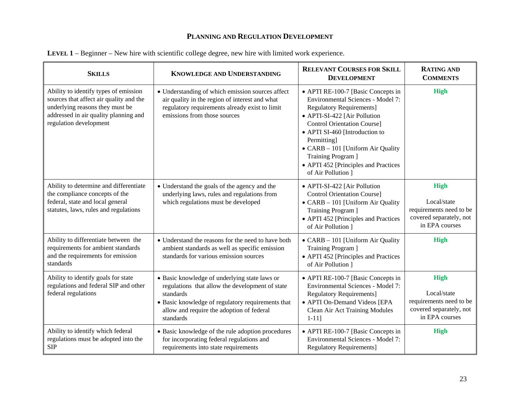| <b>SKILLS</b>                                                                                                                                                                          | <b>KNOWLEDGE AND UNDERSTANDING</b>                                                                                                                                                                                           | <b>RELEVANT COURSES FOR SKILL</b><br><b>DEVELOPMENT</b>                                                                                                                                                                                                                                                                                                    | <b>RATING AND</b><br><b>COMMENTS</b>                                                               |
|----------------------------------------------------------------------------------------------------------------------------------------------------------------------------------------|------------------------------------------------------------------------------------------------------------------------------------------------------------------------------------------------------------------------------|------------------------------------------------------------------------------------------------------------------------------------------------------------------------------------------------------------------------------------------------------------------------------------------------------------------------------------------------------------|----------------------------------------------------------------------------------------------------|
| Ability to identify types of emission<br>sources that affect air quality and the<br>underlying reasons they must be<br>addressed in air quality planning and<br>regulation development | • Understanding of which emission sources affect<br>air quality in the region of interest and what<br>regulatory requirements already exist to limit<br>emissions from those sources                                         | • APTI RE-100-7 [Basic Concepts in<br>Environmental Sciences - Model 7:<br><b>Regulatory Requirements]</b><br>• APTI-SI-422 [Air Pollution<br><b>Control Orientation Course]</b><br>• APTI SI-460 [Introduction to<br>Permitting]<br>• CARB - 101 [Uniform Air Quality<br>Training Program ]<br>• APTI 452 [Principles and Practices<br>of Air Pollution 1 | <b>High</b>                                                                                        |
| Ability to determine and differentiate<br>the compliance concepts of the<br>federal, state and local general<br>statutes, laws, rules and regulations                                  | • Understand the goals of the agency and the<br>underlying laws, rules and regulations from<br>which regulations must be developed                                                                                           | • APTI-SI-422 [Air Pollution<br><b>Control Orientation Course]</b><br>• CARB - 101 [Uniform Air Quality<br>Training Program ]<br>• APTI 452 [Principles and Practices<br>of Air Pollution 1                                                                                                                                                                | <b>High</b><br>Local/state<br>requirements need to be<br>covered separately, not<br>in EPA courses |
| Ability to differentiate between the<br>requirements for ambient standards<br>and the requirements for emission<br>standards                                                           | • Understand the reasons for the need to have both<br>ambient standards as well as specific emission<br>standards for various emission sources                                                                               | • CARB - 101 [Uniform Air Quality<br>Training Program ]<br>• APTI 452 [Principles and Practices<br>of Air Pollution 1                                                                                                                                                                                                                                      | <b>High</b>                                                                                        |
| Ability to identify goals for state<br>regulations and federal SIP and other<br>federal regulations                                                                                    | • Basic knowledge of underlying state laws or<br>regulations that allow the development of state<br>standards<br>• Basic knowledge of regulatory requirements that<br>allow and require the adoption of federal<br>standards | • APTI RE-100-7 [Basic Concepts in<br><b>Environmental Sciences - Model 7:</b><br><b>Regulatory Requirements]</b><br>• APTI On-Demand Videos [EPA<br>Clean Air Act Training Modules<br>$1 - 11$ ]                                                                                                                                                          | <b>High</b><br>Local/state<br>requirements need to be<br>covered separately, not<br>in EPA courses |
| Ability to identify which federal<br>regulations must be adopted into the<br><b>SIP</b>                                                                                                | • Basic knowledge of the rule adoption procedures<br>for incorporating federal regulations and<br>requirements into state requirements                                                                                       | • APTI RE-100-7 [Basic Concepts in<br>Environmental Sciences - Model 7:<br><b>Regulatory Requirements]</b>                                                                                                                                                                                                                                                 | <b>High</b>                                                                                        |

| <b>LEVEL 1</b> – Beginner – New hire with scientific college degree, new hire with limited work experience. |
|-------------------------------------------------------------------------------------------------------------|
|-------------------------------------------------------------------------------------------------------------|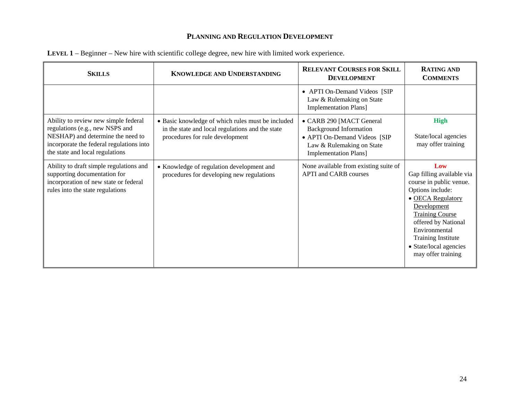| <b>SKILLS</b>                                                                                                                                                                               | <b>KNOWLEDGE AND UNDERSTANDING</b>                                                                                                       | <b>RELEVANT COURSES FOR SKILL</b><br><b>DEVELOPMENT</b>                                                                                                | <b>RATING AND</b><br><b>COMMENTS</b>                                                                                                                                                                                                                               |
|---------------------------------------------------------------------------------------------------------------------------------------------------------------------------------------------|------------------------------------------------------------------------------------------------------------------------------------------|--------------------------------------------------------------------------------------------------------------------------------------------------------|--------------------------------------------------------------------------------------------------------------------------------------------------------------------------------------------------------------------------------------------------------------------|
|                                                                                                                                                                                             |                                                                                                                                          | • APTI On-Demand Videos [SIP<br>Law & Rulemaking on State<br><b>Implementation Plans</b> ]                                                             |                                                                                                                                                                                                                                                                    |
| Ability to review new simple federal<br>regulations (e.g., new NSPS and<br>NESHAP) and determine the need to<br>incorporate the federal regulations into<br>the state and local regulations | • Basic knowledge of which rules must be included<br>in the state and local regulations and the state<br>procedures for rule development | • CARB 290 [MACT General<br><b>Background Information</b><br>• APTI On-Demand Videos [SIP<br>Law & Rulemaking on State<br><b>Implementation Plans]</b> | <b>High</b><br>State/local agencies<br>may offer training                                                                                                                                                                                                          |
| Ability to draft simple regulations and<br>supporting documentation for<br>incorporation of new state or federal<br>rules into the state regulations                                        | • Knowledge of regulation development and<br>procedures for developing new regulations                                                   | None available from existing suite of<br><b>APTI</b> and <b>CARB</b> courses                                                                           | Low<br>Gap filling available via<br>course in public venue.<br>Options include:<br>• OECA Regulatory<br>Development<br><b>Training Course</b><br>offered by National<br>Environmental<br><b>Training Institute</b><br>• State/local agencies<br>may offer training |

| LEVEL 1 – Beginner – New hire with scientific college degree, new hire with limited work experience. |  |  |
|------------------------------------------------------------------------------------------------------|--|--|
|------------------------------------------------------------------------------------------------------|--|--|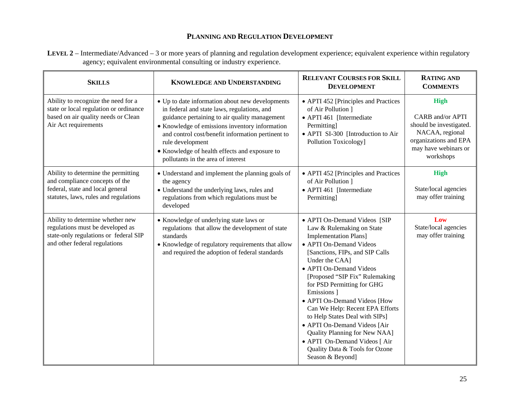**LEVEL 2** – Intermediate/Advanced – 3 or more years of planning and regulation development experience; equivalent experience within regulatory agency; equivalent environmental consulting or industry experience.

| <b>SKILLS</b>                                                                                                                                      | <b>KNOWLEDGE AND UNDERSTANDING</b>                                                                                                                                                                                                                                                                                                                                | <b>RELEVANT COURSES FOR SKILL</b><br><b>DEVELOPMENT</b>                                                                                                                                                                                                                                                                                                                                                                                                                                                                                           | <b>RATING AND</b><br><b>COMMENTS</b>                                                                                                               |
|----------------------------------------------------------------------------------------------------------------------------------------------------|-------------------------------------------------------------------------------------------------------------------------------------------------------------------------------------------------------------------------------------------------------------------------------------------------------------------------------------------------------------------|---------------------------------------------------------------------------------------------------------------------------------------------------------------------------------------------------------------------------------------------------------------------------------------------------------------------------------------------------------------------------------------------------------------------------------------------------------------------------------------------------------------------------------------------------|----------------------------------------------------------------------------------------------------------------------------------------------------|
| Ability to recognize the need for a<br>state or local regulation or ordinance<br>based on air quality needs or Clean<br>Air Act requirements       | • Up to date information about new developments<br>in federal and state laws, regulations, and<br>guidance pertaining to air quality management<br>• Knowledge of emissions inventory information<br>and control cost/benefit information pertinent to<br>rule development<br>• Knowledge of health effects and exposure to<br>pollutants in the area of interest | • APTI 452 [Principles and Practices<br>of Air Pollution ]<br>• APTI 461 [Intermediate<br>Permitting]<br>• APTI SI-300 [Introduction to Air<br>Pollution Toxicology]                                                                                                                                                                                                                                                                                                                                                                              | <b>High</b><br><b>CARB</b> and/or APTI<br>should be investigated.<br>NACAA, regional<br>organizations and EPA<br>may have webinars or<br>workshops |
| Ability to determine the permitting<br>and compliance concepts of the<br>federal, state and local general<br>statutes, laws, rules and regulations | • Understand and implement the planning goals of<br>the agency<br>• Understand the underlying laws, rules and<br>regulations from which regulations must be<br>developed                                                                                                                                                                                          | • APTI 452 [Principles and Practices<br>of Air Pollution ]<br>• APTI 461 [Intermediate<br>Permitting]                                                                                                                                                                                                                                                                                                                                                                                                                                             | <b>High</b><br>State/local agencies<br>may offer training                                                                                          |
| Ability to determine whether new<br>regulations must be developed as<br>state-only regulations or federal SIP<br>and other federal regulations     | • Knowledge of underlying state laws or<br>regulations that allow the development of state<br>standards<br>• Knowledge of regulatory requirements that allow<br>and required the adoption of federal standards                                                                                                                                                    | • APTI On-Demand Videos [SIP<br>Law & Rulemaking on State<br><b>Implementation Plans</b> ]<br>• APTI On-Demand Videos<br>[Sanctions, FIPs, and SIP Calls<br>Under the CAA]<br>• APTI On-Demand Videos<br>[Proposed "SIP Fix" Rulemaking<br>for PSD Permitting for GHG<br>Emissions 1<br>• APTI On-Demand Videos [How<br>Can We Help: Recent EPA Efforts<br>to Help States Deal with SIPs]<br>• APTI On-Demand Videos [Air<br>Quality Planning for New NAA]<br>• APTI On-Demand Videos [ Air<br>Quality Data & Tools for Ozone<br>Season & Beyond] | Low<br>State/local agencies<br>may offer training                                                                                                  |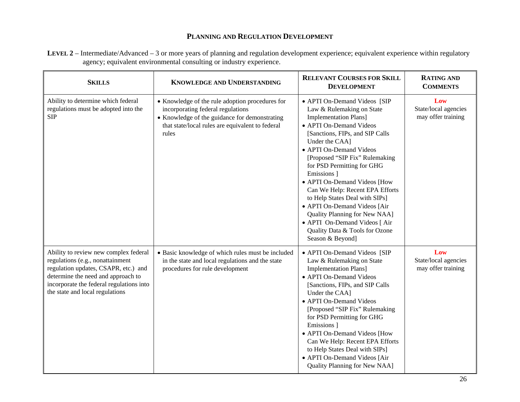**LEVEL 2** – Intermediate/Advanced – 3 or more years of planning and regulation development experience; equivalent experience within regulatory agency; equivalent environmental consulting or industry experience.

| <b>SKILLS</b>                                                                                                                                                                                                                          | <b>KNOWLEDGE AND UNDERSTANDING</b>                                                                                                                                                                 | <b>RELEVANT COURSES FOR SKILL</b><br><b>DEVELOPMENT</b>                                                                                                                                                                                                                                                                                                                                                                                                                                                                                          | <b>RATING AND</b><br><b>COMMENTS</b>              |
|----------------------------------------------------------------------------------------------------------------------------------------------------------------------------------------------------------------------------------------|----------------------------------------------------------------------------------------------------------------------------------------------------------------------------------------------------|--------------------------------------------------------------------------------------------------------------------------------------------------------------------------------------------------------------------------------------------------------------------------------------------------------------------------------------------------------------------------------------------------------------------------------------------------------------------------------------------------------------------------------------------------|---------------------------------------------------|
| Ability to determine which federal<br>regulations must be adopted into the<br><b>SIP</b>                                                                                                                                               | • Knowledge of the rule adoption procedures for<br>incorporating federal regulations<br>• Knowledge of the guidance for demonstrating<br>that state/local rules are equivalent to federal<br>rules | • APTI On-Demand Videos [SIP<br>Law & Rulemaking on State<br><b>Implementation Plans]</b><br>• APTI On-Demand Videos<br>[Sanctions, FIPs, and SIP Calls<br>Under the CAA]<br>• APTI On-Demand Videos<br>[Proposed "SIP Fix" Rulemaking<br>for PSD Permitting for GHG<br>Emissions 1<br>• APTI On-Demand Videos [How<br>Can We Help: Recent EPA Efforts<br>to Help States Deal with SIPs]<br>• APTI On-Demand Videos [Air<br>Quality Planning for New NAA]<br>• APTI On-Demand Videos [ Air<br>Quality Data & Tools for Ozone<br>Season & Beyond] | Low<br>State/local agencies<br>may offer training |
| Ability to review new complex federal<br>regulations (e.g., nonattainment<br>regulation updates, CSAPR, etc.) and<br>determine the need and approach to<br>incorporate the federal regulations into<br>the state and local regulations | · Basic knowledge of which rules must be included<br>in the state and local regulations and the state<br>procedures for rule development                                                           | • APTI On-Demand Videos [SIP<br>Law & Rulemaking on State<br><b>Implementation Plans]</b><br>• APTI On-Demand Videos<br>[Sanctions, FIPs, and SIP Calls<br>Under the CAA]<br>• APTI On-Demand Videos<br>[Proposed "SIP Fix" Rulemaking<br>for PSD Permitting for GHG<br>Emissions 1<br>• APTI On-Demand Videos [How<br>Can We Help: Recent EPA Efforts<br>to Help States Deal with SIPs]<br>• APTI On-Demand Videos [Air<br>Quality Planning for New NAA]                                                                                        | Low<br>State/local agencies<br>may offer training |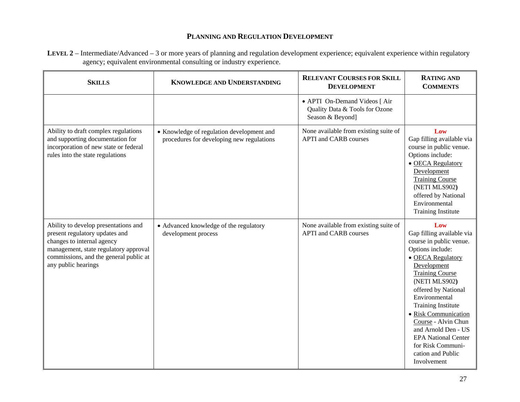**LEVEL 2** – Intermediate/Advanced – 3 or more years of planning and regulation development experience; equivalent experience within regulatory agency; equivalent environmental consulting or industry experience.

| <b>SKILLS</b>                                                                                                                                                                                                  | <b>KNOWLEDGE AND UNDERSTANDING</b>                                                     | <b>RELEVANT COURSES FOR SKILL</b><br><b>DEVELOPMENT</b>                             | <b>RATING AND</b><br><b>COMMENTS</b>                                                                                                                                                                                                                                                                                                                                                             |
|----------------------------------------------------------------------------------------------------------------------------------------------------------------------------------------------------------------|----------------------------------------------------------------------------------------|-------------------------------------------------------------------------------------|--------------------------------------------------------------------------------------------------------------------------------------------------------------------------------------------------------------------------------------------------------------------------------------------------------------------------------------------------------------------------------------------------|
|                                                                                                                                                                                                                |                                                                                        | • APTI On-Demand Videos [ Air<br>Quality Data & Tools for Ozone<br>Season & Beyond] |                                                                                                                                                                                                                                                                                                                                                                                                  |
| Ability to draft complex regulations<br>and supporting documentation for<br>incorporation of new state or federal<br>rules into the state regulations                                                          | • Knowledge of regulation development and<br>procedures for developing new regulations | None available from existing suite of<br><b>APTI</b> and CARB courses               | Low<br>Gap filling available via<br>course in public venue.<br>Options include:<br>• OECA Regulatory<br>Development<br><b>Training Course</b><br>(NETI MLS902)<br>offered by National<br>Environmental<br><b>Training Institute</b>                                                                                                                                                              |
| Ability to develop presentations and<br>present regulatory updates and<br>changes to internal agency<br>management, state regulatory approval<br>commissions, and the general public at<br>any public hearings | • Advanced knowledge of the regulatory<br>development process                          | None available from existing suite of<br><b>APTI</b> and CARB courses               | Low<br>Gap filling available via<br>course in public venue.<br>Options include:<br>• OECA Regulatory<br>Development<br><b>Training Course</b><br>(NETI MLS902)<br>offered by National<br>Environmental<br><b>Training Institute</b><br>• Risk Communication<br>Course - Alvin Chun<br>and Arnold Den - US<br><b>EPA National Center</b><br>for Risk Communi-<br>cation and Public<br>Involvement |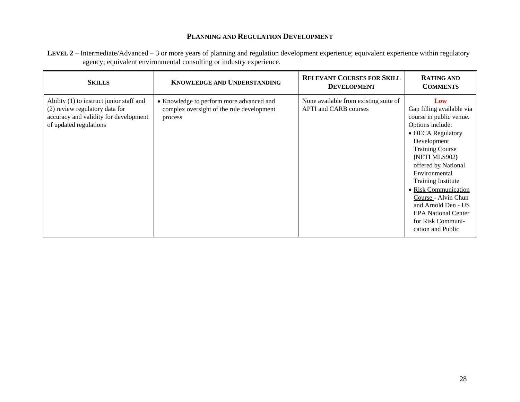| LEVEL 2 – Intermediate/Advanced – 3 or more years of planning and regulation development experience; equivalent experience within regulatory |
|----------------------------------------------------------------------------------------------------------------------------------------------|
| agency; equivalent environmental consulting or industry experience.                                                                          |

| <b>SKILLS</b>                                                                                                                                 | <b>KNOWLEDGE AND UNDERSTANDING</b>                                                               | <b>RELEVANT COURSES FOR SKILL</b><br><b>DEVELOPMENT</b>                      | <b>RATING AND</b><br><b>COMMENTS</b>                                                                                                                                                                                                                                                                                                                                              |
|-----------------------------------------------------------------------------------------------------------------------------------------------|--------------------------------------------------------------------------------------------------|------------------------------------------------------------------------------|-----------------------------------------------------------------------------------------------------------------------------------------------------------------------------------------------------------------------------------------------------------------------------------------------------------------------------------------------------------------------------------|
| Ability (1) to instruct junior staff and<br>(2) review regulatory data for<br>accuracy and validity for development<br>of updated regulations | • Knowledge to perform more advanced and<br>complex oversight of the rule development<br>process | None available from existing suite of<br><b>APTI</b> and <b>CARB</b> courses | Low<br>Gap filling available via<br>course in public venue.<br>Options include:<br>• OECA Regulatory<br>Development<br><b>Training Course</b><br>(NETI MLS902)<br>offered by National<br>Environmental<br><b>Training Institute</b><br>• Risk Communication<br>Course - Alvin Chun<br>and Arnold Den - US<br><b>EPA National Center</b><br>for Risk Communi-<br>cation and Public |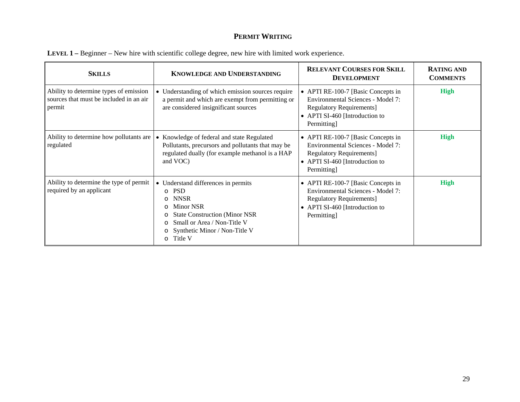| <b>SKILLS</b>                                                                               | <b>KNOWLEDGE AND UNDERSTANDING</b>                                                                                                                                                                                                                                               | <b>RELEVANT COURSES FOR SKILL</b><br><b>DEVELOPMENT</b>                                                                                                            | <b>RATING AND</b><br><b>COMMENTS</b> |
|---------------------------------------------------------------------------------------------|----------------------------------------------------------------------------------------------------------------------------------------------------------------------------------------------------------------------------------------------------------------------------------|--------------------------------------------------------------------------------------------------------------------------------------------------------------------|--------------------------------------|
| Ability to determine types of emission<br>sources that must be included in an air<br>permit | • Understanding of which emission sources require<br>a permit and which are exempt from permitting or<br>are considered insignificant sources                                                                                                                                    | • APTI RE-100-7 [Basic Concepts in<br>Environmental Sciences - Model 7:<br><b>Regulatory Requirements</b> ]<br>• APTI SI-460 [Introduction to<br>Permitting]       | <b>High</b>                          |
| Ability to determine how pollutants are<br>regulated                                        | • Knowledge of federal and state Regulated<br>Pollutants, precursors and pollutants that may be<br>regulated dually (for example methanol is a HAP<br>and VOC)                                                                                                                   | • APTI RE-100-7 [Basic Concepts in<br>Environmental Sciences - Model 7:<br><b>Regulatory Requirements</b> ]<br>• APTI SI-460 [Introduction to<br>Permitting]       | <b>High</b>                          |
| Ability to determine the type of permit<br>required by an applicant                         | • Understand differences in permits<br><b>PSD</b><br>$\cap$<br><b>NNSR</b><br>$\circ$<br><b>Minor NSR</b><br>$\Omega$<br><b>State Construction (Minor NSR)</b><br>$\circ$<br>Small or Area / Non-Title V<br>O<br>Synthetic Minor / Non-Title V<br>$\circ$<br>Title V<br>$\Omega$ | • APTI RE-100-7 [Basic Concepts in<br><b>Environmental Sciences - Model 7:</b><br><b>Regulatory Requirements]</b><br>• APTI SI-460 [Introduction to<br>Permitting] | <b>High</b>                          |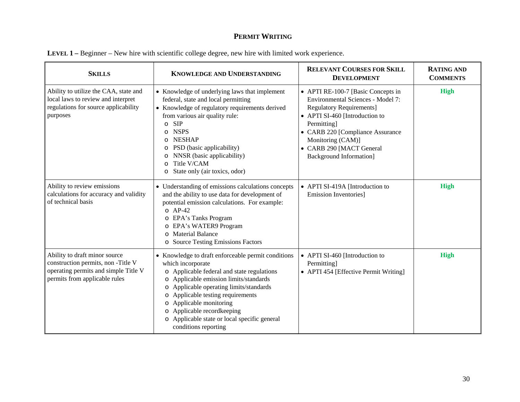| <b>SKILLS</b>                                                                                                                               | <b>KNOWLEDGE AND UNDERSTANDING</b>                                                                                                                                                                                                                                                                                                                                                                                      | <b>RELEVANT COURSES FOR SKILL</b><br><b>DEVELOPMENT</b>                                                                                                                                                                                                                            | <b>RATING AND</b><br><b>COMMENTS</b> |
|---------------------------------------------------------------------------------------------------------------------------------------------|-------------------------------------------------------------------------------------------------------------------------------------------------------------------------------------------------------------------------------------------------------------------------------------------------------------------------------------------------------------------------------------------------------------------------|------------------------------------------------------------------------------------------------------------------------------------------------------------------------------------------------------------------------------------------------------------------------------------|--------------------------------------|
| Ability to utilize the CAA, state and<br>local laws to review and interpret<br>regulations for source applicability<br>purposes             | • Knowledge of underlying laws that implement<br>federal, state and local permitting<br>• Knowledge of regulatory requirements derived<br>from various air quality rule:<br><b>SIP</b><br>$\circ$<br><b>NSPS</b><br>$\circ$<br><b>NESHAP</b><br>$\circ$<br>o PSD (basic applicability)<br>NNSR (basic applicability)<br>$\circ$<br>Title V/CAM<br>$\Omega$<br>State only (air toxics, odor)<br>O                        | • APTI RE-100-7 [Basic Concepts in<br>Environmental Sciences - Model 7:<br><b>Regulatory Requirements]</b><br>• APTI SI-460 [Introduction to<br>Permitting]<br>• CARB 220 [Compliance Assurance<br>Monitoring (CAM)]<br>• CARB 290 [MACT General<br><b>Background Information]</b> | <b>High</b>                          |
| Ability to review emissions<br>calculations for accuracy and validity<br>of technical basis                                                 | • Understanding of emissions calculations concepts<br>and the ability to use data for development of<br>potential emission calculations. For example:<br>$O$ AP-42<br>o EPA's Tanks Program<br>o EPA's WATER9 Program<br><b>Material Balance</b><br>$\circ$<br>o Source Testing Emissions Factors                                                                                                                       | • APTI SI-419A [Introduction to<br><b>Emission Inventories</b> ]                                                                                                                                                                                                                   | <b>High</b>                          |
| Ability to draft minor source<br>construction permits, non-Title V<br>operating permits and simple Title V<br>permits from applicable rules | • Knowledge to draft enforceable permit conditions<br>which incorporate<br>o Applicable federal and state regulations<br>Applicable emission limits/standards<br>$\circ$<br>Applicable operating limits/standards<br>$\circ$<br>Applicable testing requirements<br>$\circ$<br>Applicable monitoring<br>O<br>Applicable recordkeeping<br>$\circ$<br>o Applicable state or local specific general<br>conditions reporting | • APTI SI-460 [Introduction to<br>Permitting]<br>• APTI 454 [Effective Permit Writing]                                                                                                                                                                                             | <b>High</b>                          |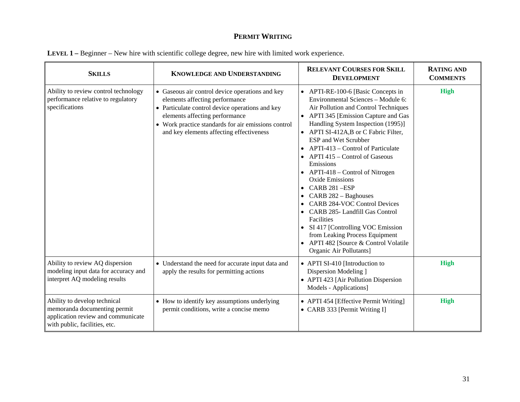| <b>SKILLS</b>                                                                                                                       | <b>KNOWLEDGE AND UNDERSTANDING</b>                                                                                                                                                                                                                                        | <b>RELEVANT COURSES FOR SKILL</b><br><b>DEVELOPMENT</b>                                                                                                                                                                                                                                                                                                                                                                                                                                                                                                                                                                                                                                                                                    | <b>RATING AND</b><br><b>COMMENTS</b> |
|-------------------------------------------------------------------------------------------------------------------------------------|---------------------------------------------------------------------------------------------------------------------------------------------------------------------------------------------------------------------------------------------------------------------------|--------------------------------------------------------------------------------------------------------------------------------------------------------------------------------------------------------------------------------------------------------------------------------------------------------------------------------------------------------------------------------------------------------------------------------------------------------------------------------------------------------------------------------------------------------------------------------------------------------------------------------------------------------------------------------------------------------------------------------------------|--------------------------------------|
| Ability to review control technology<br>performance relative to regulatory<br>specifications                                        | • Gaseous air control device operations and key<br>elements affecting performance<br>• Particulate control device operations and key<br>elements affecting performance<br>• Work practice standards for air emissions control<br>and key elements affecting effectiveness | • APTI-RE-100-6 [Basic Concepts in<br>Environmental Sciences - Module 6:<br>Air Pollution and Control Techniques<br>APTI 345 [Emission Capture and Gas<br>Handling System Inspection (1995)]<br>APTI SI-412A,B or C Fabric Filter,<br>$\bullet$<br>ESP and Wet Scrubber<br>APTI-413 – Control of Particulate<br>$\bullet$<br>APTI 415 – Control of Gaseous<br>$\bullet$<br>Emissions<br>• APTI-418 – Control of Nitrogen<br><b>Oxide Emissions</b><br>CARB 281-ESP<br>$\bullet$<br>CARB 282 - Baghouses<br><b>CARB 284-VOC Control Devices</b><br>• CARB 285- Landfill Gas Control<br>Facilities<br>• SI 417 [Controlling VOC Emission<br>from Leaking Process Equipment<br>APTI 482 [Source & Control Volatile<br>Organic Air Pollutants] | <b>High</b>                          |
| Ability to review AQ dispersion<br>modeling input data for accuracy and<br>interpret AQ modeling results                            | • Understand the need for accurate input data and<br>apply the results for permitting actions                                                                                                                                                                             | • APTI SI-410 [Introduction to<br>Dispersion Modeling ]<br>• APTI 423 [Air Pollution Dispersion<br>Models - Applications]                                                                                                                                                                                                                                                                                                                                                                                                                                                                                                                                                                                                                  | <b>High</b>                          |
| Ability to develop technical<br>memoranda documenting permit<br>application review and communicate<br>with public, facilities, etc. | • How to identify key assumptions underlying<br>permit conditions, write a concise memo                                                                                                                                                                                   | • APTI 454 [Effective Permit Writing]<br>• CARB 333 [Permit Writing I]                                                                                                                                                                                                                                                                                                                                                                                                                                                                                                                                                                                                                                                                     | <b>High</b>                          |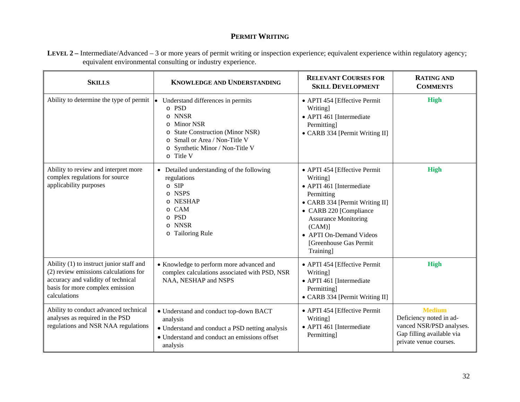**LEVEL 2 –** Intermediate/Advanced – 3 or more years of permit writing or inspection experience; equivalent experience within regulatory agency; equivalent environmental consulting or industry experience.

| <b>SKILLS</b>                                                                                                                                                              | <b>KNOWLEDGE AND UNDERSTANDING</b>                                                                                                                                                                                                                    | <b>RELEVANT COURSES FOR</b><br><b>SKILL DEVELOPMENT</b>                                                                                                                                                                                                      | <b>RATING AND</b><br><b>COMMENTS</b>                                                                                        |
|----------------------------------------------------------------------------------------------------------------------------------------------------------------------------|-------------------------------------------------------------------------------------------------------------------------------------------------------------------------------------------------------------------------------------------------------|--------------------------------------------------------------------------------------------------------------------------------------------------------------------------------------------------------------------------------------------------------------|-----------------------------------------------------------------------------------------------------------------------------|
| Ability to determine the type of permit $\bullet$                                                                                                                          | Understand differences in permits<br>o PSD<br><b>NNSR</b><br>$\circ$<br><b>Minor NSR</b><br>O<br><b>State Construction (Minor NSR)</b><br>$\circ$<br>Small or Area / Non-Title V<br>$\Omega$<br>Synthetic Minor / Non-Title V<br>$\circ$<br>o Title V | • APTI 454 [Effective Permit<br>Writing]<br>• APTI 461 [Intermediate<br>Permitting]<br>• CARB 334 [Permit Writing II]                                                                                                                                        | <b>High</b>                                                                                                                 |
| Ability to review and interpret more<br>complex regulations for source<br>applicability purposes                                                                           | • Detailed understanding of the following<br>regulations<br>$\circ$ SIP<br><b>NSPS</b><br>$\circ$<br>o NESHAP<br>o CAM<br><b>PSD</b><br>$\Omega$<br><b>NNSR</b><br>$\circ$<br>o Tailoring Rule                                                        | • APTI 454 [Effective Permit<br>Writing]<br>• APTI 461 [Intermediate<br>Permitting<br>• CARB 334 [Permit Writing II]<br>• CARB 220 [Compliance<br><b>Assurance Monitoring</b><br>$(CAM)$ ]<br>• APTI On-Demand Videos<br>[Greenhouse Gas Permit<br>Training] | <b>High</b>                                                                                                                 |
| Ability (1) to instruct junior staff and<br>(2) review emissions calculations for<br>accuracy and validity of technical<br>basis for more complex emission<br>calculations | • Knowledge to perform more advanced and<br>complex calculations associated with PSD, NSR<br>NAA, NESHAP and NSPS                                                                                                                                     | • APTI 454 [Effective Permit<br>Writing]<br>• APTI 461 [Intermediate<br>Permitting]<br>• CARB 334 [Permit Writing II]                                                                                                                                        | <b>High</b>                                                                                                                 |
| Ability to conduct advanced technical<br>analyses as required in the PSD<br>regulations and NSR NAA regulations                                                            | • Understand and conduct top-down BACT<br>analysis<br>• Understand and conduct a PSD netting analysis<br>• Understand and conduct an emissions offset<br>analysis                                                                                     | • APTI 454 [Effective Permit<br>Writing]<br>• APTI 461 [Intermediate<br>Permitting]                                                                                                                                                                          | <b>Medium</b><br>Deficiency noted in ad-<br>vanced NSR/PSD analyses.<br>Gap filling available via<br>private venue courses. |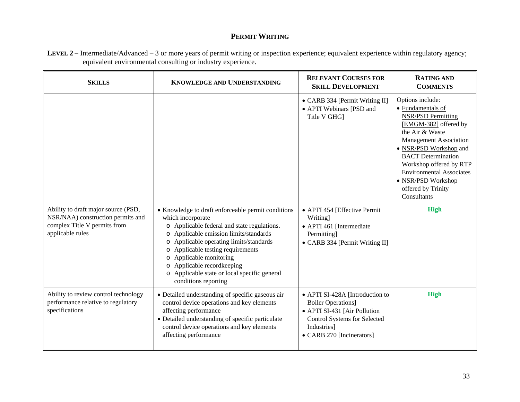| LEVEL 2 – Intermediate/Advanced – 3 or more years of permit writing or inspection experience; equivalent experience within regulatory agency; |  |
|-----------------------------------------------------------------------------------------------------------------------------------------------|--|
| equivalent environmental consulting or industry experience.                                                                                   |  |

| <b>SKILLS</b>                                                                                                                | <b>KNOWLEDGE AND UNDERSTANDING</b>                                                                                                                                                                                                                                                                                                                                                                                             | <b>RELEVANT COURSES FOR</b><br><b>SKILL DEVELOPMENT</b>                                                                                                                  | <b>RATING AND</b><br><b>COMMENTS</b>                                                                                                                                                                                                                                                                                            |
|------------------------------------------------------------------------------------------------------------------------------|--------------------------------------------------------------------------------------------------------------------------------------------------------------------------------------------------------------------------------------------------------------------------------------------------------------------------------------------------------------------------------------------------------------------------------|--------------------------------------------------------------------------------------------------------------------------------------------------------------------------|---------------------------------------------------------------------------------------------------------------------------------------------------------------------------------------------------------------------------------------------------------------------------------------------------------------------------------|
|                                                                                                                              |                                                                                                                                                                                                                                                                                                                                                                                                                                | • CARB 334 [Permit Writing II]<br>• APTI Webinars [PSD and<br>Title V GHG]                                                                                               | Options include:<br>• Fundamentals of<br><b>NSR/PSD Permitting</b><br>[EMGM-382] offered by<br>the Air & Waste<br><b>Management Association</b><br>• NSR/PSD Workshop and<br><b>BACT</b> Determination<br>Workshop offered by RTP<br><b>Environmental Associates</b><br>· NSR/PSD Workshop<br>offered by Trinity<br>Consultants |
| Ability to draft major source (PSD,<br>NSR/NAA) construction permits and<br>complex Title V permits from<br>applicable rules | • Knowledge to draft enforceable permit conditions<br>which incorporate<br>o Applicable federal and state regulations.<br>Applicable emission limits/standards<br>$\circ$<br>Applicable operating limits/standards<br>$\circ$<br>Applicable testing requirements<br>$\circ$<br>Applicable monitoring<br>$\circ$<br>Applicable recordkeeping<br>$\circ$<br>o Applicable state or local specific general<br>conditions reporting | • APTI 454 [Effective Permit<br><b>Writing</b><br>• APTI 461 [Intermediate<br><b>Permitting</b><br>• CARB 334 [Permit Writing II]                                        | <b>High</b>                                                                                                                                                                                                                                                                                                                     |
| Ability to review control technology<br>performance relative to regulatory<br>specifications                                 | • Detailed understanding of specific gaseous air<br>control device operations and key elements<br>affecting performance<br>• Detailed understanding of specific particulate<br>control device operations and key elements<br>affecting performance                                                                                                                                                                             | • APTI SI-428A [Introduction to<br><b>Boiler Operations]</b><br>• APTI SI-431 [Air Pollution<br>Control Systems for Selected<br>Industries]<br>• CARB 270 [Incinerators] | <b>High</b>                                                                                                                                                                                                                                                                                                                     |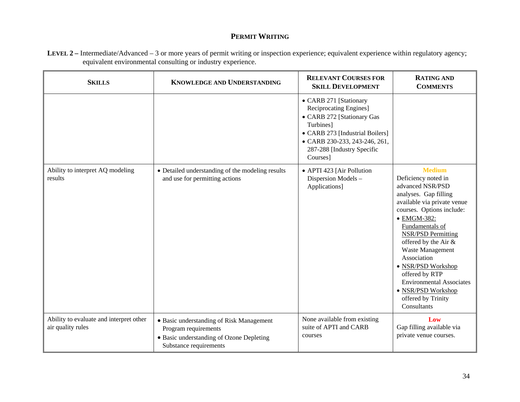**LEVEL 2 –** Intermediate/Advanced – 3 or more years of permit writing or inspection experience; equivalent experience within regulatory agency; equivalent environmental consulting or industry experience.

| <b>SKILLS</b>                                                | KNOWLEDGE AND UNDERSTANDING                                                                                                            | <b>RELEVANT COURSES FOR</b><br><b>SKILL DEVELOPMENT</b>                                                                                                                                                   | <b>RATING AND</b><br><b>COMMENTS</b>                                                                                                                                                                                                                                                                                                                                                                          |
|--------------------------------------------------------------|----------------------------------------------------------------------------------------------------------------------------------------|-----------------------------------------------------------------------------------------------------------------------------------------------------------------------------------------------------------|---------------------------------------------------------------------------------------------------------------------------------------------------------------------------------------------------------------------------------------------------------------------------------------------------------------------------------------------------------------------------------------------------------------|
|                                                              |                                                                                                                                        | • CARB 271 [Stationary<br>Reciprocating Engines]<br>• CARB 272 [Stationary Gas<br>Turbines]<br>• CARB 273 [Industrial Boilers]<br>• CARB 230-233, 243-246, 261,<br>287-288 [Industry Specific<br>Courses] |                                                                                                                                                                                                                                                                                                                                                                                                               |
| Ability to interpret AQ modeling<br>results                  | • Detailed understanding of the modeling results<br>and use for permitting actions                                                     | • APTI 423 [Air Pollution<br>Dispersion Models -<br>Applications]                                                                                                                                         | <b>Medium</b><br>Deficiency noted in<br>advanced NSR/PSD<br>analyses. Gap filling<br>available via private venue<br>courses. Options include:<br>• EMGM-382:<br>Fundamentals of<br><b>NSR/PSD Permitting</b><br>offered by the Air &<br>Waste Management<br>Association<br>· NSR/PSD Workshop<br>offered by RTP<br><b>Environmental Associates</b><br>• NSR/PSD Workshop<br>offered by Trinity<br>Consultants |
| Ability to evaluate and interpret other<br>air quality rules | • Basic understanding of Risk Management<br>Program requirements<br>• Basic understanding of Ozone Depleting<br>Substance requirements | None available from existing<br>suite of APTI and CARB<br>courses                                                                                                                                         | Low<br>Gap filling available via<br>private venue courses.                                                                                                                                                                                                                                                                                                                                                    |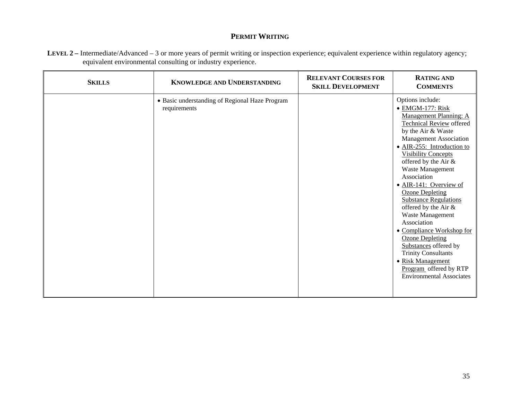| LEVEL 2 – Intermediate/Advanced – 3 or more years of permit writing or inspection experience; equivalent experience within regulatory agency; |  |
|-----------------------------------------------------------------------------------------------------------------------------------------------|--|
| equivalent environmental consulting or industry experience.                                                                                   |  |

| Options include:<br>• Basic understanding of Regional Haze Program<br>· EMGM-177: Risk<br>requirements<br>Management Planning: A<br><b>Technical Review offered</b><br>by the Air & Waste<br><b>Management Association</b><br>· AIR-255: Introduction to<br><b>Visibility Concepts</b><br>offered by the Air &<br>Waste Management<br>Association<br>• AIR-141: Overview of<br><b>Ozone Depleting</b><br><b>Substance Regulations</b><br>offered by the Air &<br>Waste Management<br>Association<br>• Compliance Workshop for | <b>SKILLS</b> | <b>KNOWLEDGE AND UNDERSTANDING</b> | <b>RELEVANT COURSES FOR</b><br><b>SKILL DEVELOPMENT</b> | <b>RATING AND</b><br><b>COMMENTS</b> |
|-------------------------------------------------------------------------------------------------------------------------------------------------------------------------------------------------------------------------------------------------------------------------------------------------------------------------------------------------------------------------------------------------------------------------------------------------------------------------------------------------------------------------------|---------------|------------------------------------|---------------------------------------------------------|--------------------------------------|
| Substances offered by<br><b>Trinity Consultants</b><br>• Risk Management<br>Program offered by RTP<br><b>Environmental Associates</b>                                                                                                                                                                                                                                                                                                                                                                                         |               |                                    |                                                         | <b>Ozone Depleting</b>               |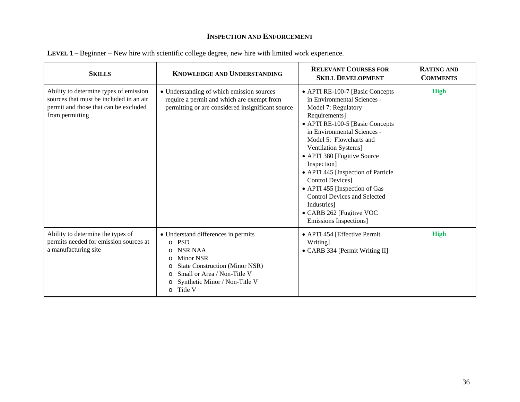| <b>SKILLS</b>                                                                                                                                 | <b>KNOWLEDGE AND UNDERSTANDING</b>                                                                                                                                                                                                     | <b>RELEVANT COURSES FOR</b><br><b>SKILL DEVELOPMENT</b>                                                                                                                                                                                                                                                                                                                                                                                                                                 | <b>RATING AND</b><br><b>COMMENTS</b> |
|-----------------------------------------------------------------------------------------------------------------------------------------------|----------------------------------------------------------------------------------------------------------------------------------------------------------------------------------------------------------------------------------------|-----------------------------------------------------------------------------------------------------------------------------------------------------------------------------------------------------------------------------------------------------------------------------------------------------------------------------------------------------------------------------------------------------------------------------------------------------------------------------------------|--------------------------------------|
| Ability to determine types of emission<br>sources that must be included in an air<br>permit and those that can be excluded<br>from permitting | • Understanding of which emission sources<br>require a permit and which are exempt from<br>permitting or are considered insignificant source                                                                                           | • APTI RE-100-7 [Basic Concepts<br>in Environmental Sciences -<br>Model 7: Regulatory<br>Requirements]<br>• APTI RE-100-5 [Basic Concepts<br>in Environmental Sciences -<br>Model 5: Flowcharts and<br>Ventilation Systems]<br>• APTI 380 [Fugitive Source<br>Inspection]<br>• APTI 445 [Inspection of Particle<br><b>Control Devices]</b><br>• APTI 455 [Inspection of Gas<br><b>Control Devices and Selected</b><br>Industries]<br>• CARB 262 [Fugitive VOC<br>Emissions Inspections] | <b>High</b>                          |
| Ability to determine the types of<br>permits needed for emission sources at<br>a manufacturing site                                           | • Understand differences in permits<br>$\circ$ PSD<br>NSR NAA<br><b>Minor NSR</b><br>O<br><b>State Construction (Minor NSR)</b><br>Small or Area / Non-Title V<br>$\Omega$<br>Synthetic Minor / Non-Title V<br>O<br>Title V<br>$\circ$ | • APTI 454 [Effective Permit<br>Writing]<br>• CARB 334 [Permit Writing II]                                                                                                                                                                                                                                                                                                                                                                                                              | <b>High</b>                          |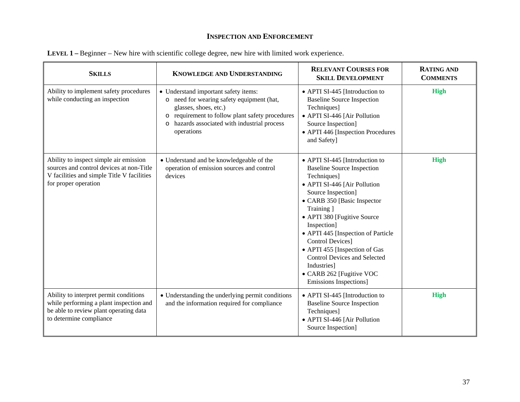| <b>SKILLS</b>                                                                                                                                            | <b>KNOWLEDGE AND UNDERSTANDING</b>                                                                                                                                                                                                            | <b>RELEVANT COURSES FOR</b><br><b>SKILL DEVELOPMENT</b>                                                                                                                                                                                                                                                                                                                                                                                     | <b>RATING AND</b><br><b>COMMENTS</b> |
|----------------------------------------------------------------------------------------------------------------------------------------------------------|-----------------------------------------------------------------------------------------------------------------------------------------------------------------------------------------------------------------------------------------------|---------------------------------------------------------------------------------------------------------------------------------------------------------------------------------------------------------------------------------------------------------------------------------------------------------------------------------------------------------------------------------------------------------------------------------------------|--------------------------------------|
| Ability to implement safety procedures<br>while conducting an inspection                                                                                 | • Understand important safety items:<br>o need for wearing safety equipment (hat,<br>glasses, shoes, etc.)<br>requirement to follow plant safety procedures<br>$\circ$<br>hazards associated with industrial process<br>$\circ$<br>operations | • APTI SI-445 [Introduction to<br><b>Baseline Source Inspection</b><br>Techniques]<br>• APTI SI-446 [Air Pollution<br>Source Inspection]<br>• APTI 446 [Inspection Procedures<br>and Safety]                                                                                                                                                                                                                                                | <b>High</b>                          |
| Ability to inspect simple air emission<br>sources and control devices at non-Title<br>V facilities and simple Title V facilities<br>for proper operation | • Understand and be knowledgeable of the<br>operation of emission sources and control<br>devices                                                                                                                                              | • APTI SI-445 [Introduction to<br><b>Baseline Source Inspection</b><br>Techniques]<br>• APTI SI-446 [Air Pollution<br>Source Inspection]<br>• CARB 350 [Basic Inspector<br>Training ]<br>• APTI 380 [Fugitive Source]<br>Inspection]<br>• APTI 445 [Inspection of Particle<br>Control Devices]<br>• APTI 455 [Inspection of Gas<br><b>Control Devices and Selected</b><br>Industries]<br>• CARB 262 [Fugitive VOC<br>Emissions Inspections] | <b>High</b>                          |
| Ability to interpret permit conditions<br>while performing a plant inspection and<br>be able to review plant operating data<br>to determine compliance   | • Understanding the underlying permit conditions<br>and the information required for compliance                                                                                                                                               | • APTI SI-445 [Introduction to<br><b>Baseline Source Inspection</b><br>Techniques]<br>• APTI SI-446 [Air Pollution<br>Source Inspection]                                                                                                                                                                                                                                                                                                    | <b>High</b>                          |

|  |  |  |  |  | LEVEL 1 – Beginner – New hire with scientific college degree, new hire with limited work experience. |
|--|--|--|--|--|------------------------------------------------------------------------------------------------------|
|  |  |  |  |  |                                                                                                      |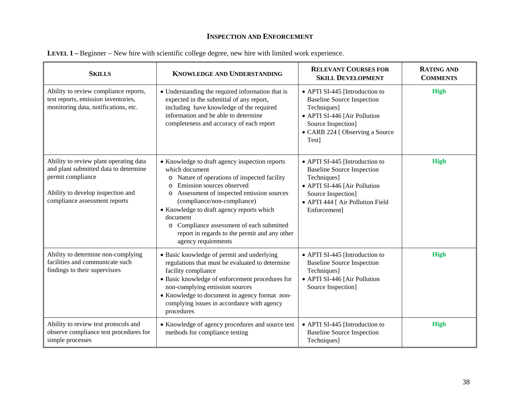| <b>SKILLS</b>                                                                                                                                                              | <b>KNOWLEDGE AND UNDERSTANDING</b>                                                                                                                                                                                                                                                                                                                                                                                                    | <b>RELEVANT COURSES FOR</b><br><b>SKILL DEVELOPMENT</b>                                                                                                                                      | <b>RATING AND</b><br><b>COMMENTS</b> |
|----------------------------------------------------------------------------------------------------------------------------------------------------------------------------|---------------------------------------------------------------------------------------------------------------------------------------------------------------------------------------------------------------------------------------------------------------------------------------------------------------------------------------------------------------------------------------------------------------------------------------|----------------------------------------------------------------------------------------------------------------------------------------------------------------------------------------------|--------------------------------------|
| Ability to review compliance reports,<br>test reports, emission inventories,<br>monitoring data, notifications, etc.                                                       | • Understanding the required information that is<br>expected in the submittal of any report,<br>including have knowledge of the required<br>information and be able to determine<br>completeness and accuracy of each report                                                                                                                                                                                                          | • APTI SI-445 [Introduction to<br><b>Baseline Source Inspection</b><br>Techniques]<br>• APTI SI-446 [Air Pollution<br>Source Inspection]<br>• CARB 224 [ Observing a Source<br>Test]         | <b>High</b>                          |
| Ability to review plant operating data<br>and plant submitted data to determine<br>permit compliance<br>Ability to develop inspection and<br>compliance assessment reports | • Knowledge to draft agency inspection reports<br>which document<br>Nature of operations of inspected facility<br>$\circ$<br>Emission sources observed<br>$\circ$<br>Assessment of inspected emission sources<br>$\circ$<br>(compliance/non-compliance)<br>• Knowledge to draft agency reports which<br>document<br>o Compliance assessment of each submitted<br>report in regards to the permit and any other<br>agency requirements | • APTI SI-445 [Introduction to<br><b>Baseline Source Inspection</b><br>Techniques]<br>• APTI SI-446 [Air Pollution<br>Source Inspection]<br>• APTI 444 [ Air Pollution Field<br>Enforcement] | <b>High</b>                          |
| Ability to determine non-complying<br>facilities and communicate such<br>findings to their supervisors                                                                     | • Basic knowledge of permit and underlying<br>regulations that must be evaluated to determine<br>facility compliance<br>· Basic knowledge of enforcement procedures for<br>non-complying emission sources<br>• Knowledge to document in agency format non-<br>complying issues in accordance with agency<br>procedures                                                                                                                | • APTI SI-445 [Introduction to<br><b>Baseline Source Inspection</b><br>Techniques]<br>• APTI SI-446 [Air Pollution<br>Source Inspection]                                                     | <b>High</b>                          |
| Ability to review test protocols and<br>observe compliance test procedures for<br>simple processes                                                                         | • Knowledge of agency procedures and source test<br>methods for compliance testing                                                                                                                                                                                                                                                                                                                                                    | • APTI SI-445 [Introduction to<br><b>Baseline Source Inspection</b><br>Techniques]                                                                                                           | <b>High</b>                          |

| LEVEL 1 – Beginner – New hire with scientific college degree, new hire with limited work experience. |  |  |
|------------------------------------------------------------------------------------------------------|--|--|
|                                                                                                      |  |  |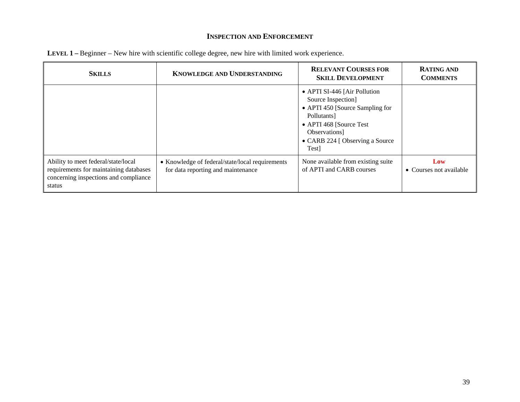| <b>SKILLS</b>                                                                                                                    | <b>KNOWLEDGE AND UNDERSTANDING</b>                                                    | <b>RELEVANT COURSES FOR</b><br><b>SKILL DEVELOPMENT</b>                                                                                                                                      | <b>RATING AND</b><br><b>COMMENTS</b> |
|----------------------------------------------------------------------------------------------------------------------------------|---------------------------------------------------------------------------------------|----------------------------------------------------------------------------------------------------------------------------------------------------------------------------------------------|--------------------------------------|
|                                                                                                                                  |                                                                                       | • APTI SI-446 [Air Pollution<br>Source Inspection]<br>• APTI 450 [Source Sampling for<br>Pollutants<br>• APTI 468 [Source Test]<br>Observations]<br>• CARB 224 [ Observing a Source<br>Test] |                                      |
| Ability to meet federal/state/local<br>requirements for maintaining databases<br>concerning inspections and compliance<br>status | • Knowledge of federal/state/local requirements<br>for data reporting and maintenance | None available from existing suite<br>of APTI and CARB courses                                                                                                                               | Low<br>• Courses not available       |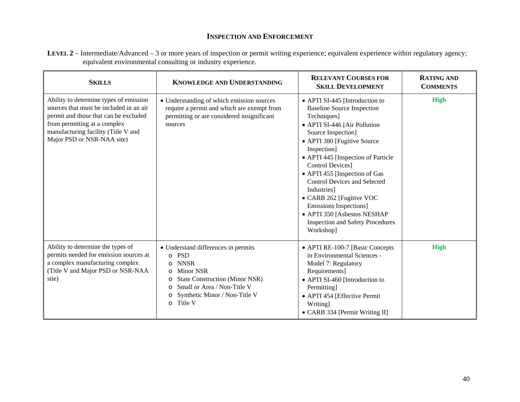| LEVEL 2 – Intermediate/Advanced – 3 or more years of inspection or permit writing experience; equivalent experience within regulatory agency; |  |
|-----------------------------------------------------------------------------------------------------------------------------------------------|--|
| equivalent environmental consulting or industry experience.                                                                                   |  |

| <b>SKILLS</b>                                                                                                                                                                                                                   | <b>KNOWLEDGE AND UNDERSTANDING</b>                                                                                                                                                                                                                         | <b>RELEVANT COURSES FOR</b><br><b>SKILL DEVELOPMENT</b>                                                                                                                                                                                                                                                                                                                                                                                                                                      | <b>RATING AND</b><br><b>COMMENTS</b> |
|---------------------------------------------------------------------------------------------------------------------------------------------------------------------------------------------------------------------------------|------------------------------------------------------------------------------------------------------------------------------------------------------------------------------------------------------------------------------------------------------------|----------------------------------------------------------------------------------------------------------------------------------------------------------------------------------------------------------------------------------------------------------------------------------------------------------------------------------------------------------------------------------------------------------------------------------------------------------------------------------------------|--------------------------------------|
| Ability to determine types of emission<br>sources that must be included in an air<br>permit and those that can be excluded<br>from permitting at a complex<br>manufacturing facility (Title V and<br>Major PSD or NSR-NAA site) | • Understanding of which emission sources<br>require a permit and which are exempt from<br>permitting or are considered insignificant<br>sources                                                                                                           | • APTI SI-445 [Introduction to<br><b>Baseline Source Inspection</b><br>Techniques]<br>• APTI SI-446 [Air Pollution<br>Source Inspection]<br>• APTI 380 [Fugitive Source<br>Inspection]<br>• APTI 445 [Inspection of Particle<br><b>Control Devices</b> ]<br>• APTI 455 [Inspection of Gas<br><b>Control Devices and Selected</b><br>Industries]<br>• CARB 262 [Fugitive VOC<br>Emissions Inspections]<br>• APTI 350 [Asbestos NESHAP<br><b>Inspection and Safety Procedures</b><br>Workshop] | <b>High</b>                          |
| Ability to determine the types of<br>permits needed for emission sources at<br>a complex manufacturing complex<br>(Title V and Major PSD or NSR-NAA<br>site)                                                                    | • Understand differences in permits<br>o PSD<br><b>NNSR</b><br>$\circ$<br><b>Minor NSR</b><br>$\circ$<br><b>State Construction (Minor NSR)</b><br>$\circ$<br>Small or Area / Non-Title V<br>Synthetic Minor / Non-Title V<br>$\circ$<br>Title V<br>$\circ$ | • APTI RE-100-7 [Basic Concepts<br>in Environmental Sciences -<br>Model 7: Regulatory<br>Requirements]<br>• APTI SI-460 [Introduction to<br>Permitting]<br>• APTI 454 [Effective Permit<br>Writing]<br>• CARB 334 [Permit Writing II]                                                                                                                                                                                                                                                        | <b>High</b>                          |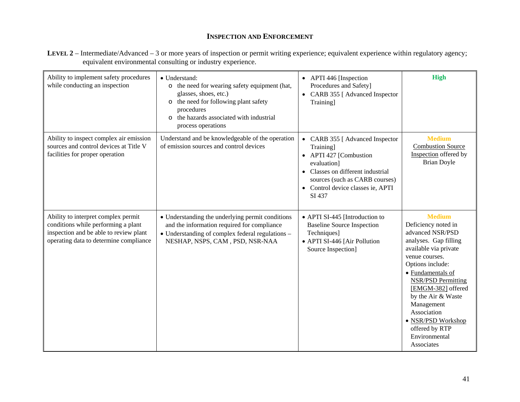| LEVEL 2 – Intermediate/Advanced – 3 or more years of inspection or permit writing experience; equivalent experience within regulatory agency; |  |
|-----------------------------------------------------------------------------------------------------------------------------------------------|--|
| equivalent environmental consulting or industry experience.                                                                                   |  |

| Ability to implement safety procedures<br>while conducting an inspection                                                                                       | • Understand:<br>o the need for wearing safety equipment (hat,<br>glasses, shoes, etc.)<br>o the need for following plant safety<br>procedures<br>o the hazards associated with industrial<br>process operations | • APTI 446 [Inspection<br>Procedures and Safety]<br>• CARB 355 [ Advanced Inspector<br>Training]                                                                                                            | <b>High</b>                                                                                                                                                                                                                                                                                                                                        |
|----------------------------------------------------------------------------------------------------------------------------------------------------------------|------------------------------------------------------------------------------------------------------------------------------------------------------------------------------------------------------------------|-------------------------------------------------------------------------------------------------------------------------------------------------------------------------------------------------------------|----------------------------------------------------------------------------------------------------------------------------------------------------------------------------------------------------------------------------------------------------------------------------------------------------------------------------------------------------|
| Ability to inspect complex air emission<br>sources and control devices at Title V<br>facilities for proper operation                                           | Understand and be knowledgeable of the operation<br>of emission sources and control devices                                                                                                                      | • CARB 355 [ Advanced Inspector<br>Training]<br>• APTI 427 [Combustion<br>evaluation]<br>• Classes on different industrial<br>sources (such as CARB courses)<br>• Control device classes ie, APTI<br>SI 437 | <b>Medium</b><br><b>Combustion Source</b><br>Inspection offered by<br><b>Brian Doyle</b>                                                                                                                                                                                                                                                           |
| Ability to interpret complex permit<br>conditions while performing a plant<br>inspection and be able to review plant<br>operating data to determine compliance | • Understanding the underlying permit conditions<br>and the information required for compliance<br>• Understanding of complex federal regulations -<br>NESHAP, NSPS, CAM, PSD, NSR-NAA                           | • APTI SI-445 [Introduction to<br><b>Baseline Source Inspection</b><br>Techniques]<br>• APTI SI-446 [Air Pollution<br>Source Inspection]                                                                    | <b>Medium</b><br>Deficiency noted in<br>advanced NSR/PSD<br>analyses. Gap filling<br>available via private<br>venue courses.<br>Options include:<br>• Fundamentals of<br><b>NSR/PSD Permitting</b><br>[EMGM-382] offered<br>by the Air & Waste<br>Management<br>Association<br>· NSR/PSD Workshop<br>offered by RTP<br>Environmental<br>Associates |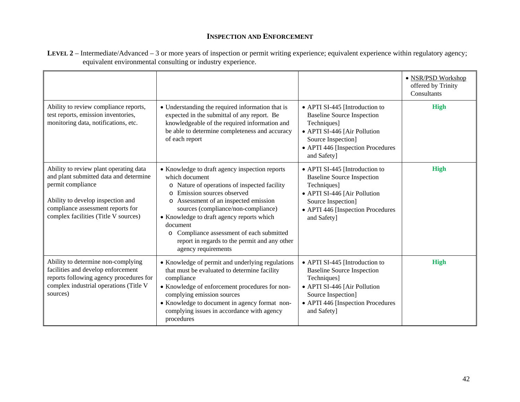|                                                                                                                                                                                                                         |                                                                                                                                                                                                                                                                                                                                                                                                                        |                                                                                                                                                                                              | · NSR/PSD Workshop<br>offered by Trinity<br>Consultants |
|-------------------------------------------------------------------------------------------------------------------------------------------------------------------------------------------------------------------------|------------------------------------------------------------------------------------------------------------------------------------------------------------------------------------------------------------------------------------------------------------------------------------------------------------------------------------------------------------------------------------------------------------------------|----------------------------------------------------------------------------------------------------------------------------------------------------------------------------------------------|---------------------------------------------------------|
| Ability to review compliance reports,<br>test reports, emission inventories,<br>monitoring data, notifications, etc.                                                                                                    | • Understanding the required information that is<br>expected in the submittal of any report. Be<br>knowledgeable of the required information and<br>be able to determine completeness and accuracy<br>of each report                                                                                                                                                                                                   | • APTI SI-445 [Introduction to<br><b>Baseline Source Inspection</b><br>Techniques]<br>• APTI SI-446 [Air Pollution<br>Source Inspection]<br>• APTI 446 [Inspection Procedures<br>and Safety] | <b>High</b>                                             |
| Ability to review plant operating data<br>and plant submitted data and determine<br>permit compliance<br>Ability to develop inspection and<br>compliance assessment reports for<br>complex facilities (Title V sources) | • Knowledge to draft agency inspection reports<br>which document<br>o Nature of operations of inspected facility<br>o Emission sources observed<br>o Assessment of an inspected emission<br>sources (compliance/non-compliance)<br>• Knowledge to draft agency reports which<br>document<br>Compliance assessment of each submitted<br>$\circ$<br>report in regards to the permit and any other<br>agency requirements | • APTI SI-445 [Introduction to<br><b>Baseline Source Inspection</b><br>Techniques]<br>• APTI SI-446 [Air Pollution<br>Source Inspection]<br>• APTI 446 [Inspection Procedures<br>and Safety] | <b>High</b>                                             |
| Ability to determine non-complying<br>facilities and develop enforcement<br>reports following agency procedures for<br>complex industrial operations (Title V<br>sources)                                               | • Knowledge of permit and underlying regulations<br>that must be evaluated to determine facility<br>compliance<br>• Knowledge of enforcement procedures for non-<br>complying emission sources                                                                                                                                                                                                                         | • APTI SI-445 [Introduction to<br><b>Baseline Source Inspection</b><br>Techniques]<br>• APTI SI-446 [Air Pollution<br>Source Inspection]                                                     | <b>High</b>                                             |

• APTI 446 [Inspection Procedures]

and Safety]

• Knowledge to document in agency format noncomplying issues in accordance with agency

procedures

**LEVEL 2** – Intermediate/Advanced – 3 or more years of inspection or permit writing experience; equivalent experience within regulatory agency; equivalent environmental consulting or industry experience.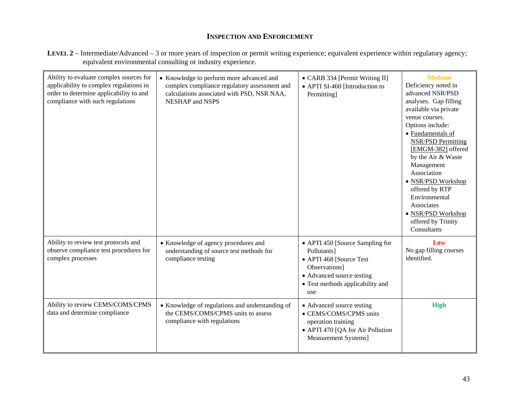| LEVEL 2 – Intermediate/Advanced – 3 or more years of inspection or permit writing experience; equivalent experience within regulatory agency; |  |
|-----------------------------------------------------------------------------------------------------------------------------------------------|--|
| equivalent environmental consulting or industry experience.                                                                                   |  |

| Ability to evaluate complex sources for<br>applicability to complex regulations in<br>order to determine applicability to and<br>compliance with such regulations | • Knowledge to perform more advanced and<br>complex compliance regulatory assessment and<br>calculations associated with PSD, NSR NAA,<br><b>NESHAP</b> and NSPS | • CARB 334 [Permit Writing II]<br>• APTI SI-460 [Introduction to<br>Permitting]                                                                                    | <b>Medium</b><br>Deficiency noted in<br>advanced NSR/PSD<br>analyses. Gap filling<br>available via private<br>venue courses.<br>Options include:<br>• Fundamentals of<br><b>NSR/PSD Permitting</b><br>[EMGM-382] offered<br>by the Air & Waste<br>Management<br>Association<br>· NSR/PSD Workshop<br>offered by RTP<br>Environmental<br>Associates<br>· NSR/PSD Workshop<br>offered by Trinity<br>Consultants |
|-------------------------------------------------------------------------------------------------------------------------------------------------------------------|------------------------------------------------------------------------------------------------------------------------------------------------------------------|--------------------------------------------------------------------------------------------------------------------------------------------------------------------|---------------------------------------------------------------------------------------------------------------------------------------------------------------------------------------------------------------------------------------------------------------------------------------------------------------------------------------------------------------------------------------------------------------|
| Ability to review test protocols and<br>observe compliance test procedures for<br>complex processes                                                               | • Knowledge of agency procedures and<br>understanding of source test methods for<br>compliance testing                                                           | • APTI 450 [Source Sampling for<br>Pollutants]<br>• APTI 468 [Source Test<br>Observations]<br>• Advanced source testing<br>• Test methods applicability and<br>use | Low<br>No gap filling courses<br>identified.                                                                                                                                                                                                                                                                                                                                                                  |
| Ability to review CEMS/COMS/CPMS<br>data and determine compliance                                                                                                 | • Knowledge of regulations and understanding of<br>the CEMS/COMS/CPMS units to assess<br>compliance with regulations                                             | • Advanced source testing<br>• CEMS/COMS/CPMS units<br>operation training<br>• APTI 470 [QA for Air Pollution<br>Measurement Systems]                              | <b>High</b>                                                                                                                                                                                                                                                                                                                                                                                                   |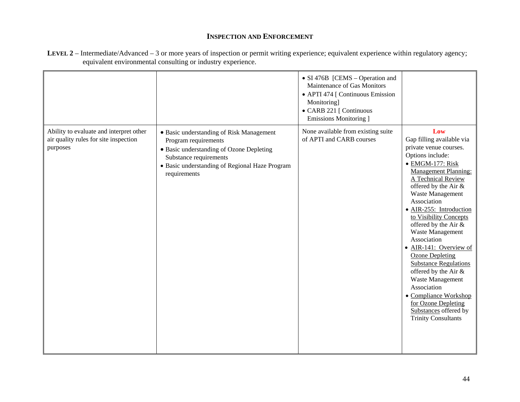|                                                                                              |                                                                                                                                                                                                          | • SI 476B [CEMS – Operation and<br>Maintenance of Gas Monitors<br>• APTI 474 [ Continuous Emission<br>Monitoring]<br>• CARB 221 [ Continuous<br>Emissions Monitoring ] |                                                                                                                                                                                                                                                                                                                                                                                                                                                                                                                                                                                          |
|----------------------------------------------------------------------------------------------|----------------------------------------------------------------------------------------------------------------------------------------------------------------------------------------------------------|------------------------------------------------------------------------------------------------------------------------------------------------------------------------|------------------------------------------------------------------------------------------------------------------------------------------------------------------------------------------------------------------------------------------------------------------------------------------------------------------------------------------------------------------------------------------------------------------------------------------------------------------------------------------------------------------------------------------------------------------------------------------|
| Ability to evaluate and interpret other<br>air quality rules for site inspection<br>purposes | • Basic understanding of Risk Management<br>Program requirements<br>• Basic understanding of Ozone Depleting<br>Substance requirements<br>• Basic understanding of Regional Haze Program<br>requirements | None available from existing suite<br>of APTI and CARB courses                                                                                                         | Low<br>Gap filling available via<br>private venue courses.<br>Options include:<br>· EMGM-177: Risk<br><b>Management Planning:</b><br>A Technical Review<br>offered by the Air &<br>Waste Management<br>Association<br>· AIR-255: Introduction<br>to Visibility Concepts<br>offered by the Air &<br>Waste Management<br>Association<br>• AIR-141: Overview of<br><b>Ozone Depleting</b><br><b>Substance Regulations</b><br>offered by the Air &<br>Waste Management<br>Association<br>• Compliance Workshop<br>for Ozone Depleting<br>Substances offered by<br><b>Trinity Consultants</b> |

**LEVEL 2** – Intermediate/Advanced – 3 or more years of inspection or permit writing experience; equivalent experience within regulatory agency; equivalent environmental consulting or industry experience.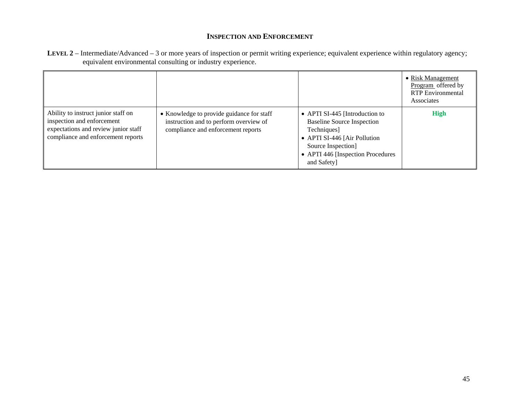| LEVEL 2 – Intermediate/Advanced – 3 or more years of inspection or permit writing experience; equivalent experience within regulatory agency; |  |
|-----------------------------------------------------------------------------------------------------------------------------------------------|--|
| equivalent environmental consulting or industry experience.                                                                                   |  |

|                                                                                                                                                 |                                                                                                                           |                                                                                                                                                                                              | • Risk Management<br>Program offered by<br><b>RTP</b> Environmental<br>Associates |
|-------------------------------------------------------------------------------------------------------------------------------------------------|---------------------------------------------------------------------------------------------------------------------------|----------------------------------------------------------------------------------------------------------------------------------------------------------------------------------------------|-----------------------------------------------------------------------------------|
| Ability to instruct junior staff on<br>inspection and enforcement<br>expectations and review junior staff<br>compliance and enforcement reports | • Knowledge to provide guidance for staff<br>instruction and to perform overview of<br>compliance and enforcement reports | • APTI SI-445 [Introduction to<br><b>Baseline Source Inspection</b><br>Techniques]<br>• APTI SI-446 [Air Pollution<br>Source Inspection]<br>• APTI 446 [Inspection Procedures<br>and Safety] | <b>High</b>                                                                       |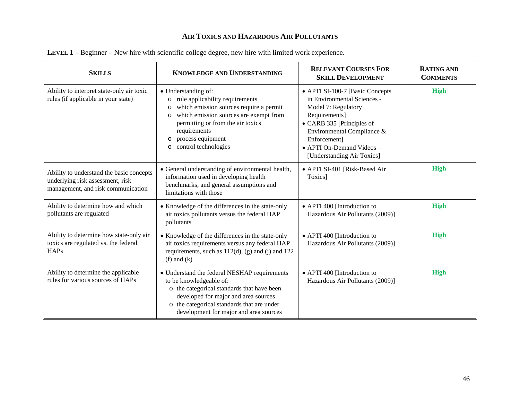| <b>SKILLS</b>                                                                                                      | <b>KNOWLEDGE AND UNDERSTANDING</b>                                                                                                                                                                                                                                                                   | <b>RELEVANT COURSES FOR</b><br><b>SKILL DEVELOPMENT</b>                                                                                                                                                                                      | <b>RATING AND</b><br><b>COMMENTS</b> |
|--------------------------------------------------------------------------------------------------------------------|------------------------------------------------------------------------------------------------------------------------------------------------------------------------------------------------------------------------------------------------------------------------------------------------------|----------------------------------------------------------------------------------------------------------------------------------------------------------------------------------------------------------------------------------------------|--------------------------------------|
| Ability to interpret state-only air toxic<br>rules (if applicable in your state)                                   | • Understanding of:<br>rule applicability requirements<br>$\circ$<br>which emission sources require a permit<br>$\circ$<br>which emission sources are exempt from<br>$\circ$<br>permitting or from the air toxics<br>requirements<br>process equipment<br>$\circ$<br>control technologies<br>$\circ$ | • APTI SI-100-7 [Basic Concepts<br>in Environmental Sciences -<br>Model 7: Regulatory<br>Requirements]<br>• CARB 335 [Principles of<br>Environmental Compliance &<br>Enforcement]<br>• APTI On-Demand Videos -<br>[Understanding Air Toxics] | <b>High</b>                          |
| Ability to understand the basic concepts<br>underlying risk assessment, risk<br>management, and risk communication | • General understanding of environmental health,<br>information used in developing health<br>benchmarks, and general assumptions and<br>limitations with those                                                                                                                                       | • APTI SI-401 [Risk-Based Air<br>Toxics]                                                                                                                                                                                                     | <b>High</b>                          |
| Ability to determine how and which<br>pollutants are regulated                                                     | • Knowledge of the differences in the state-only<br>air toxics pollutants versus the federal HAP<br>pollutants                                                                                                                                                                                       | • APTI 400 [Introduction to<br>Hazardous Air Pollutants (2009)]                                                                                                                                                                              | <b>High</b>                          |
| Ability to determine how state-only air<br>toxics are regulated vs. the federal<br><b>HAPs</b>                     | • Knowledge of the differences in the state-only<br>air toxics requirements versus any federal HAP<br>requirements, such as $112(d)$ , (g) and (j) and $122$<br>$(f)$ and $(k)$                                                                                                                      | • APTI 400 [Introduction to<br>Hazardous Air Pollutants (2009)]                                                                                                                                                                              | <b>High</b>                          |
| Ability to determine the applicable<br>rules for various sources of HAPs                                           | • Understand the federal NESHAP requirements<br>to be knowledgeable of:<br>o the categorical standards that have been<br>developed for major and area sources<br>o the categorical standards that are under<br>development for major and area sources                                                | • APTI 400 [Introduction to<br>Hazardous Air Pollutants (2009)]                                                                                                                                                                              | <b>High</b>                          |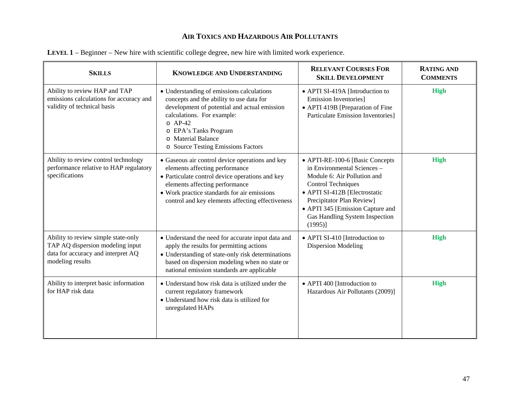| <b>SKILLS</b>                                                                                                                     | <b>KNOWLEDGE AND UNDERSTANDING</b>                                                                                                                                                                                                                                        | <b>RELEVANT COURSES FOR</b><br><b>SKILL DEVELOPMENT</b>                                                                                                                                                                                                                      | <b>RATING AND</b><br><b>COMMENTS</b> |
|-----------------------------------------------------------------------------------------------------------------------------------|---------------------------------------------------------------------------------------------------------------------------------------------------------------------------------------------------------------------------------------------------------------------------|------------------------------------------------------------------------------------------------------------------------------------------------------------------------------------------------------------------------------------------------------------------------------|--------------------------------------|
| Ability to review HAP and TAP<br>emissions calculations for accuracy and<br>validity of technical basis                           | • Understanding of emissions calculations<br>concepts and the ability to use data for<br>development of potential and actual emission<br>calculations. For example:<br>$O$ AP-42<br>o EPA's Tanks Program<br>o Material Balance<br>o Source Testing Emissions Factors     | • APTI SI-419A [Introduction to<br><b>Emission Inventories</b><br>• APTI 419B [Preparation of Fine<br><b>Particulate Emission Inventories</b>                                                                                                                                | <b>High</b>                          |
| Ability to review control technology<br>performance relative to HAP regulatory<br>specifications                                  | • Gaseous air control device operations and key<br>elements affecting performance<br>• Particulate control device operations and key<br>elements affecting performance<br>• Work practice standards for air emissions<br>control and key elements affecting effectiveness | • APTI-RE-100-6 [Basic Concepts<br>in Environmental Sciences -<br>Module 6: Air Pollution and<br><b>Control Techniques</b><br>• APTI SI-412B [Electrostatic<br>Precipitator Plan Review]<br>• APTI 345 [Emission Capture and<br>Gas Handling System Inspection<br>$(1995)$ ] | <b>High</b>                          |
| Ability to review simple state-only<br>TAP AQ dispersion modeling input<br>data for accuracy and interpret AQ<br>modeling results | • Understand the need for accurate input data and<br>apply the results for permitting actions<br>• Understanding of state-only risk determinations<br>based on dispersion modeling when no state or<br>national emission standards are applicable                         | • APTI SI-410 [Introduction to<br><b>Dispersion Modeling</b>                                                                                                                                                                                                                 | <b>High</b>                          |
| Ability to interpret basic information<br>for HAP risk data                                                                       | • Understand how risk data is utilized under the<br>current regulatory framework<br>• Understand how risk data is utilized for<br>unregulated HAPs                                                                                                                        | • APTI 400 [Introduction to<br>Hazardous Air Pollutants (2009)]                                                                                                                                                                                                              | <b>High</b>                          |

| LEVEL 1 – Beginner – New hire with scientific college degree, new hire with limited work experience. |
|------------------------------------------------------------------------------------------------------|
|------------------------------------------------------------------------------------------------------|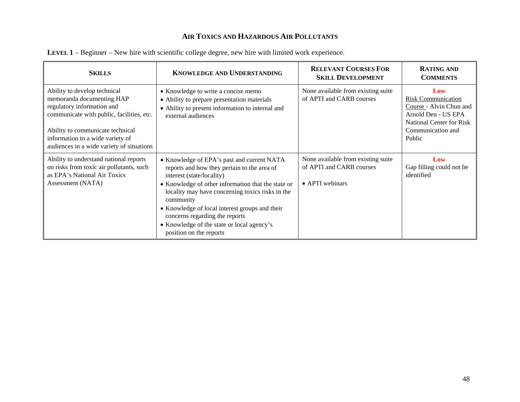| <b>SKILLS</b>                                                                                                                                                                                                                                             | <b>KNOWLEDGE AND UNDERSTANDING</b>                                                                                                                                                                                                                                                                                                                                                                         | <b>RELEVANT COURSES FOR</b><br><b>SKILL DEVELOPMENT</b>                           | <b>RATING AND</b><br><b>COMMENTS</b>                                                                                                          |
|-----------------------------------------------------------------------------------------------------------------------------------------------------------------------------------------------------------------------------------------------------------|------------------------------------------------------------------------------------------------------------------------------------------------------------------------------------------------------------------------------------------------------------------------------------------------------------------------------------------------------------------------------------------------------------|-----------------------------------------------------------------------------------|-----------------------------------------------------------------------------------------------------------------------------------------------|
| Ability to develop technical<br>memoranda documenting HAP<br>regulatory information and<br>communicate with public, facilities, etc.<br>Ability to communicate technical<br>information to a wide variety of<br>audiences in a wide variety of situations | • Knowledge to write a concise memo<br>• Ability to prepare presentation materials<br>• Ability to present information to internal and<br>external audiences                                                                                                                                                                                                                                               | None available from existing suite<br>of APTI and CARB courses                    | Low<br><b>Risk Communication</b><br>Course - Alvin Chun and<br>Arnold Den - US EPA<br>National Center for Risk<br>Communication and<br>Public |
| Ability to understand national reports<br>on risks from toxic air pollutants, such<br>as EPA's National Air Toxics<br>Assessment (NATA)                                                                                                                   | • Knowledge of EPA's past and current NATA<br>reports and how they pertain to the area of<br>interest (state/locality)<br>• Knowledge of other information that the state or<br>locality may have concerning toxics risks in the<br>community<br>• Knowledge of local interest groups and their<br>concerns regarding the reports<br>• Knowledge of the state or local agency's<br>position on the reports | None available from existing suite<br>of APTI and CARB courses<br>• APTI webinars | Low<br>Gap filling could not be<br>identified                                                                                                 |

**LEVEL 1** – Beginner – New hire with scientific college degree, new hire with limited work experience.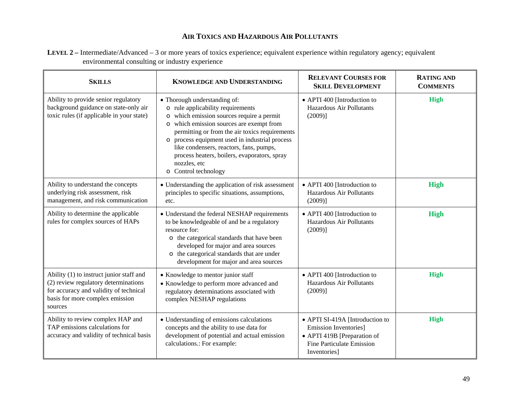| LEVEL 2 – Intermediate/Advanced – 3 or more years of toxics experience; equivalent experience within regulatory agency; equivalent |  |
|------------------------------------------------------------------------------------------------------------------------------------|--|
| environmental consulting or industry experience                                                                                    |  |

| <b>SKILLS</b>                                                                                                                                                            | <b>KNOWLEDGE AND UNDERSTANDING</b>                                                                                                                                                                                                                                                                                                                                                                                           | <b>RELEVANT COURSES FOR</b><br><b>SKILL DEVELOPMENT</b>                                                                              | <b>RATING AND</b><br><b>COMMENTS</b> |
|--------------------------------------------------------------------------------------------------------------------------------------------------------------------------|------------------------------------------------------------------------------------------------------------------------------------------------------------------------------------------------------------------------------------------------------------------------------------------------------------------------------------------------------------------------------------------------------------------------------|--------------------------------------------------------------------------------------------------------------------------------------|--------------------------------------|
| Ability to provide senior regulatory<br>background guidance on state-only air<br>toxic rules (if applicable in your state)                                               | • Thorough understanding of:<br>o rule applicability requirements<br>which emission sources require a permit<br>$\circ$<br>which emission sources are exempt from<br>$\circ$<br>permitting or from the air toxics requirements<br>process equipment used in industrial process<br>$\circ$<br>like condensers, reactors, fans, pumps,<br>process heaters, boilers, evaporators, spray<br>nozzles, etc<br>o Control technology | • APTI 400 [Introduction to<br>Hazardous Air Pollutants<br>$(2009)$ ]                                                                | <b>High</b>                          |
| Ability to understand the concepts<br>underlying risk assessment, risk<br>management, and risk communication                                                             | • Understanding the application of risk assessment<br>principles to specific situations, assumptions,<br>etc.                                                                                                                                                                                                                                                                                                                | • APTI 400 [Introduction to<br>Hazardous Air Pollutants<br>(2009)]                                                                   | High                                 |
| Ability to determine the applicable<br>rules for complex sources of HAPs                                                                                                 | • Understand the federal NESHAP requirements<br>to be knowledgeable of and be a regulatory<br>resource for:<br>o the categorical standards that have been<br>developed for major and area sources<br>o the categorical standards that are under<br>development for major and area sources                                                                                                                                    | • APTI 400 [Introduction to<br>Hazardous Air Pollutants<br>(2009)]                                                                   | High                                 |
| Ability (1) to instruct junior staff and<br>(2) review regulatory determinations<br>for accuracy and validity of technical<br>basis for more complex emission<br>sources | • Knowledge to mentor junior staff<br>• Knowledge to perform more advanced and<br>regulatory determinations associated with<br>complex NESHAP regulations                                                                                                                                                                                                                                                                    | • APTI 400 [Introduction to<br>Hazardous Air Pollutants<br>(2009)]                                                                   | <b>High</b>                          |
| Ability to review complex HAP and<br>TAP emissions calculations for<br>accuracy and validity of technical basis                                                          | • Understanding of emissions calculations<br>concepts and the ability to use data for<br>development of potential and actual emission<br>calculations.: For example:                                                                                                                                                                                                                                                         | • APTI SI-419A [Introduction to<br>Emission Inventories]<br>• APTI 419B [Preparation of<br>Fine Particulate Emission<br>Inventories] | <b>High</b>                          |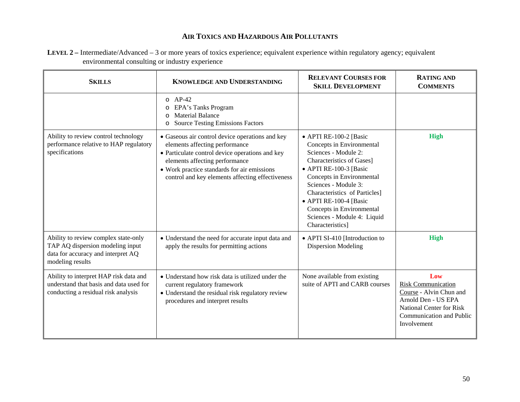| LEVEL 2 – Intermediate/Advanced – 3 or more years of toxics experience; equivalent experience within regulatory agency; equivalent |
|------------------------------------------------------------------------------------------------------------------------------------|
| environmental consulting or industry experience                                                                                    |

| <b>SKILLS</b>                                                                                                                      | <b>KNOWLEDGE AND UNDERSTANDING</b>                                                                                                                                                                                                                                        | <b>RELEVANT COURSES FOR</b><br><b>SKILL DEVELOPMENT</b>                                                                                                                                                                                                                                                                                    | <b>RATING AND</b><br><b>COMMENTS</b>                                                                                                                      |
|------------------------------------------------------------------------------------------------------------------------------------|---------------------------------------------------------------------------------------------------------------------------------------------------------------------------------------------------------------------------------------------------------------------------|--------------------------------------------------------------------------------------------------------------------------------------------------------------------------------------------------------------------------------------------------------------------------------------------------------------------------------------------|-----------------------------------------------------------------------------------------------------------------------------------------------------------|
|                                                                                                                                    | $O$ AP-42<br>EPA's Tanks Program<br>$\circ$<br><b>Material Balance</b><br>$\Omega$<br><b>Source Testing Emissions Factors</b><br>$\circ$                                                                                                                                  |                                                                                                                                                                                                                                                                                                                                            |                                                                                                                                                           |
| Ability to review control technology<br>performance relative to HAP regulatory<br>specifications                                   | • Gaseous air control device operations and key<br>elements affecting performance<br>• Particulate control device operations and key<br>elements affecting performance<br>• Work practice standards for air emissions<br>control and key elements affecting effectiveness | • APTI RE-100-2 [Basic<br>Concepts in Environmental<br>Sciences - Module 2:<br><b>Characteristics of Gases</b> ]<br>• APTI RE-100-3 [Basic<br>Concepts in Environmental<br>Sciences - Module 3:<br>Characteristics of Particles]<br>• APTI RE-100-4 [Basic<br>Concepts in Environmental<br>Sciences - Module 4: Liquid<br>Characteristics] | <b>High</b>                                                                                                                                               |
| Ability to review complex state-only<br>TAP AQ dispersion modeling input<br>data for accuracy and interpret AQ<br>modeling results | • Understand the need for accurate input data and<br>apply the results for permitting actions                                                                                                                                                                             | • APTI SI-410 [Introduction to<br><b>Dispersion Modeling</b>                                                                                                                                                                                                                                                                               | <b>High</b>                                                                                                                                               |
| Ability to interpret HAP risk data and<br>understand that basis and data used for<br>conducting a residual risk analysis           | • Understand how risk data is utilized under the<br>current regulatory framework<br>• Understand the residual risk regulatory review<br>procedures and interpret results                                                                                                  | None available from existing<br>suite of APTI and CARB courses                                                                                                                                                                                                                                                                             | Low<br><b>Risk Communication</b><br>Course - Alvin Chun and<br>Arnold Den - US EPA<br>National Center for Risk<br>Communication and Public<br>Involvement |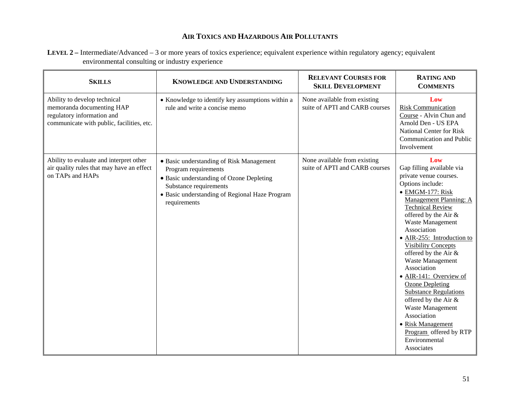**LEVEL 2 –** Intermediate/Advanced – 3 or more years of toxics experience; equivalent experience within regulatory agency; equivalent environmental consulting or industry experience

| <b>SKILLS</b>                                                                                                                        | <b>KNOWLEDGE AND UNDERSTANDING</b>                                                                                                                                                                       | <b>RELEVANT COURSES FOR</b><br><b>SKILL DEVELOPMENT</b>        | <b>RATING AND</b><br><b>COMMENTS</b>                                                                                                                                                                                                                                                                                                                                                                                                                                                                                                                                   |
|--------------------------------------------------------------------------------------------------------------------------------------|----------------------------------------------------------------------------------------------------------------------------------------------------------------------------------------------------------|----------------------------------------------------------------|------------------------------------------------------------------------------------------------------------------------------------------------------------------------------------------------------------------------------------------------------------------------------------------------------------------------------------------------------------------------------------------------------------------------------------------------------------------------------------------------------------------------------------------------------------------------|
| Ability to develop technical<br>memoranda documenting HAP<br>regulatory information and<br>communicate with public, facilities, etc. | • Knowledge to identify key assumptions within a<br>rule and write a concise memo                                                                                                                        | None available from existing<br>suite of APTI and CARB courses | Low<br><b>Risk Communication</b><br>Course - Alvin Chun and<br>Arnold Den - US EPA<br>National Center for Risk<br>Communication and Public<br>Involvement                                                                                                                                                                                                                                                                                                                                                                                                              |
| Ability to evaluate and interpret other<br>air quality rules that may have an effect<br>on TAPs and HAPs                             | • Basic understanding of Risk Management<br>Program requirements<br>• Basic understanding of Ozone Depleting<br>Substance requirements<br>• Basic understanding of Regional Haze Program<br>requirements | None available from existing<br>suite of APTI and CARB courses | Low<br>Gap filling available via<br>private venue courses.<br>Options include:<br>· EMGM-177: Risk<br>Management Planning: A<br><b>Technical Review</b><br>offered by the Air &<br>Waste Management<br>Association<br>• AIR-255: Introduction to<br><b>Visibility Concepts</b><br>offered by the Air &<br>Waste Management<br>Association<br>• AIR-141: Overview of<br><b>Ozone Depleting</b><br><b>Substance Regulations</b><br>offered by the Air &<br>Waste Management<br>Association<br>• Risk Management<br>Program offered by RTP<br>Environmental<br>Associates |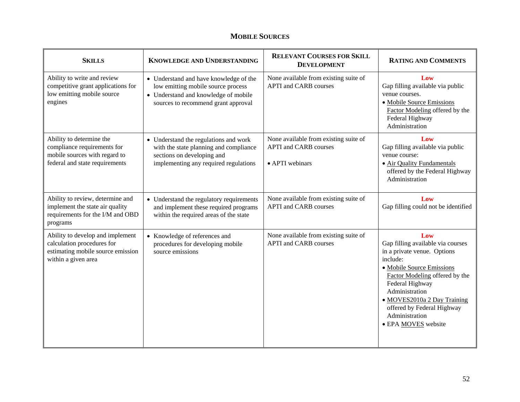#### **MOBILE SOURCES**

| <b>SKILLS</b>                                                                                                              | <b>KNOWLEDGE AND UNDERSTANDING</b>                                                                                                                          | <b>RELEVANT COURSES FOR SKILL</b><br><b>DEVELOPMENT</b>                                  | <b>RATING AND COMMENTS</b>                                                                                                                                                                                                                                                                    |
|----------------------------------------------------------------------------------------------------------------------------|-------------------------------------------------------------------------------------------------------------------------------------------------------------|------------------------------------------------------------------------------------------|-----------------------------------------------------------------------------------------------------------------------------------------------------------------------------------------------------------------------------------------------------------------------------------------------|
| Ability to write and review<br>competitive grant applications for<br>low emitting mobile source<br>engines                 | • Understand and have knowledge of the<br>low emitting mobile source process<br>• Understand and knowledge of mobile<br>sources to recommend grant approval | None available from existing suite of<br><b>APTI</b> and <b>CARB</b> courses             | Low<br>Gap filling available via public<br>venue courses.<br>· Mobile Source Emissions<br>Factor Modeling offered by the<br>Federal Highway<br>Administration                                                                                                                                 |
| Ability to determine the<br>compliance requirements for<br>mobile sources with regard to<br>federal and state requirements | • Understand the regulations and work<br>with the state planning and compliance<br>sections on developing and<br>implementing any required regulations      | None available from existing suite of<br><b>APTI</b> and CARB courses<br>• APTI webinars | Low<br>Gap filling available via public<br>venue course:<br>• Air Quality Fundamentals<br>offered by the Federal Highway<br>Administration                                                                                                                                                    |
| Ability to review, determine and<br>implement the state air quality<br>requirements for the I/M and OBD<br>programs        | • Understand the regulatory requirements<br>and implement these required programs<br>within the required areas of the state                                 | None available from existing suite of<br><b>APTI</b> and CARB courses                    | Low<br>Gap filling could not be identified                                                                                                                                                                                                                                                    |
| Ability to develop and implement<br>calculation procedures for<br>estimating mobile source emission<br>within a given area | • Knowledge of references and<br>procedures for developing mobile<br>source emissions                                                                       | None available from existing suite of<br><b>APTI</b> and CARB courses                    | Low<br>Gap filling available via courses<br>in a private venue. Options<br>include:<br>· Mobile Source Emissions<br>Factor Modeling offered by the<br>Federal Highway<br>Administration<br>• MOVES2010a 2 Day Training<br>offered by Federal Highway<br>Administration<br>· EPA MOVES website |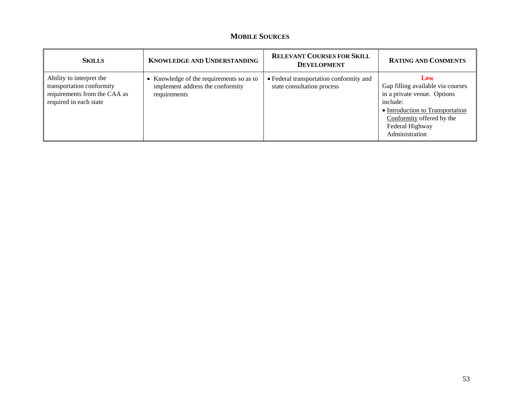#### **MOBILE SOURCES**

| <b>SKILLS</b>                                                                                                   | <b>KNOWLEDGE AND UNDERSTANDING</b>                                                           | <b>RELEVANT COURSES FOR SKILL</b><br><b>DEVELOPMENT</b>               | <b>RATING AND COMMENTS</b>                                                                                                                                                                |
|-----------------------------------------------------------------------------------------------------------------|----------------------------------------------------------------------------------------------|-----------------------------------------------------------------------|-------------------------------------------------------------------------------------------------------------------------------------------------------------------------------------------|
| Ability to interpret the<br>transportation conformity<br>requirements from the CAA as<br>required in each state | • Knowledge of the requirements so as to<br>implement address the conformity<br>requirements | • Federal transportation conformity and<br>state consultation process | Low<br>Gap filling available via courses<br>in a private venue. Options<br>include:<br>• Introduction to Transportation<br>Conformity offered by the<br>Federal Highway<br>Administration |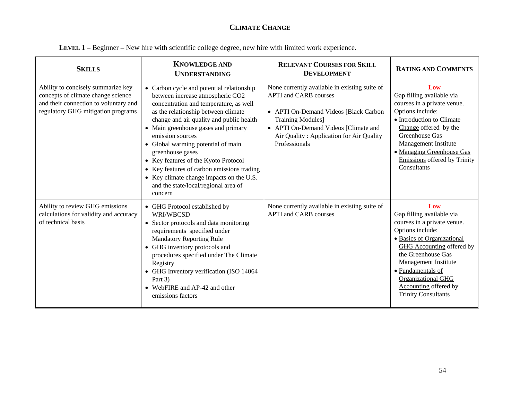#### **CLIMATE CHANGE**

| LEVEL 1 – Beginner – New hire with scientific college degree, new hire with limited work experience. |  |  |
|------------------------------------------------------------------------------------------------------|--|--|
|                                                                                                      |  |  |

| <b>SKILLS</b>                                                                                                                                           | <b>KNOWLEDGE AND</b><br><b>UNDERSTANDING</b>                                                                                                                                                                                                                                                                                                                                                                                                                                                                         | <b>RELEVANT COURSES FOR SKILL</b><br><b>DEVELOPMENT</b>                                                                                                                                                                                                 | <b>RATING AND COMMENTS</b>                                                                                                                                                                                                                                                                                   |
|---------------------------------------------------------------------------------------------------------------------------------------------------------|----------------------------------------------------------------------------------------------------------------------------------------------------------------------------------------------------------------------------------------------------------------------------------------------------------------------------------------------------------------------------------------------------------------------------------------------------------------------------------------------------------------------|---------------------------------------------------------------------------------------------------------------------------------------------------------------------------------------------------------------------------------------------------------|--------------------------------------------------------------------------------------------------------------------------------------------------------------------------------------------------------------------------------------------------------------------------------------------------------------|
| Ability to concisely summarize key<br>concepts of climate change science<br>and their connection to voluntary and<br>regulatory GHG mitigation programs | • Carbon cycle and potential relationship<br>between increase atmospheric CO2<br>concentration and temperature, as well<br>as the relationship between climate<br>change and air quality and public health<br>• Main greenhouse gases and primary<br>emission sources<br>• Global warming potential of main<br>greenhouse gases<br>• Key features of the Kyoto Protocol<br>• Key features of carbon emissions trading<br>• Key climate change impacts on the U.S.<br>and the state/local/regional area of<br>concern | None currently available in existing suite of<br><b>APTI</b> and CARB courses<br>• APTI On-Demand Videos [Black Carbon<br><b>Training Modules]</b><br>• APTI On-Demand Videos [Climate and<br>Air Quality: Application for Air Quality<br>Professionals | Low<br>Gap filling available via<br>courses in a private venue.<br>Options include:<br>• Introduction to Climate<br>Change offered by the<br>Greenhouse Gas<br>Management Institute<br>· Managing Greenhouse Gas<br>Emissions offered by Trinity<br>Consultants                                              |
| Ability to review GHG emissions<br>calculations for validity and accuracy<br>of technical basis                                                         | • GHG Protocol established by<br>WRI/WBCSD<br>• Sector protocols and data monitoring<br>requirements specified under<br><b>Mandatory Reporting Rule</b><br>• GHG inventory protocols and<br>procedures specified under The Climate<br>Registry<br>• GHG Inventory verification (ISO 14064<br>Part 3)<br>• WebFIRE and AP-42 and other<br>emissions factors                                                                                                                                                           | None currently available in existing suite of<br><b>APTI</b> and CARB courses                                                                                                                                                                           | Low<br>Gap filling available via<br>courses in a private venue.<br>Options include:<br>• Basics of Organizational<br><b>GHG</b> Accounting offered by<br>the Greenhouse Gas<br>Management Institute<br>• Fundamentals of<br><b>Organizational GHG</b><br>Accounting offered by<br><b>Trinity Consultants</b> |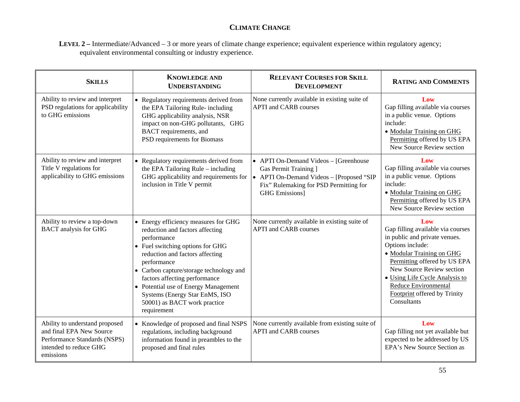#### **CLIMATE CHANGE**

**LEVEL 2 –** Intermediate/Advanced – 3 or more years of climate change experience; equivalent experience within regulatory agency; equivalent environmental consulting or industry experience.

| <b>SKILLS</b>                                                                                                                     | <b>KNOWLEDGE AND</b><br><b>UNDERSTANDING</b>                                                                                                                                                                                                                                                                                                                                      | <b>RELEVANT COURSES FOR SKILL</b><br><b>DEVELOPMENT</b>                                                                                                                       | <b>RATING AND COMMENTS</b>                                                                                                                                                                                                                                                                       |
|-----------------------------------------------------------------------------------------------------------------------------------|-----------------------------------------------------------------------------------------------------------------------------------------------------------------------------------------------------------------------------------------------------------------------------------------------------------------------------------------------------------------------------------|-------------------------------------------------------------------------------------------------------------------------------------------------------------------------------|--------------------------------------------------------------------------------------------------------------------------------------------------------------------------------------------------------------------------------------------------------------------------------------------------|
| Ability to review and interpret<br>PSD regulations for applicability<br>to GHG emissions                                          | • Regulatory requirements derived from<br>the EPA Tailoring Rule- including<br>GHG applicability analysis, NSR<br>impact on non-GHG pollutants, GHG<br>BACT requirements, and<br>PSD requirements for Biomass                                                                                                                                                                     | None currently available in existing suite of<br><b>APTI</b> and <b>CARB</b> courses                                                                                          | Low<br>Gap filling available via courses<br>in a public venue. Options<br>include:<br>• Modular Training on GHG<br>Permitting offered by US EPA<br>New Source Review section                                                                                                                     |
| Ability to review and interpret<br>Title V regulations for<br>applicability to GHG emissions                                      | • Regulatory requirements derived from<br>the EPA Tailoring Rule - including<br>GHG applicability and requirements for<br>inclusion in Title V permit                                                                                                                                                                                                                             | • APTI On-Demand Videos - [Greenhouse<br>Gas Permit Training ]<br>• APTI On-Demand Videos - [Proposed "SIP<br>Fix" Rulemaking for PSD Permitting for<br><b>GHG</b> Emissions] | Low<br>Gap filling available via courses<br>in a public venue. Options<br>include:<br>• Modular Training on GHG<br>Permitting offered by US EPA<br>New Source Review section                                                                                                                     |
| Ability to review a top-down<br><b>BACT</b> analysis for GHG                                                                      | • Energy efficiency measures for GHG<br>reduction and factors affecting<br>performance<br>• Fuel switching options for GHG<br>reduction and factors affecting<br>performance<br>• Carbon capture/storage technology and<br>factors affecting performance<br>• Potential use of Energy Management<br>Systems (Energy Star EnMS, ISO<br>50001) as BACT work practice<br>requirement | None currently available in existing suite of<br><b>APTI</b> and <b>CARB</b> courses                                                                                          | Low<br>Gap filling available via courses<br>in public and private venues.<br>Options include:<br>• Modular Training on GHG<br>Permitting offered by US EPA<br>New Source Review section<br>• Using Life Cycle Analysis to<br>Reduce Environmental<br>Footprint offered by Trinity<br>Consultants |
| Ability to understand proposed<br>and final EPA New Source<br>Performance Standards (NSPS)<br>intended to reduce GHG<br>emissions | • Knowledge of proposed and final NSPS<br>regulations, including background<br>information found in preambles to the<br>proposed and final rules                                                                                                                                                                                                                                  | None currently available from existing suite of<br><b>APTI</b> and <b>CARB</b> courses                                                                                        | Low<br>Gap filling not yet available but<br>expected to be addressed by US<br>EPA's New Source Section as                                                                                                                                                                                        |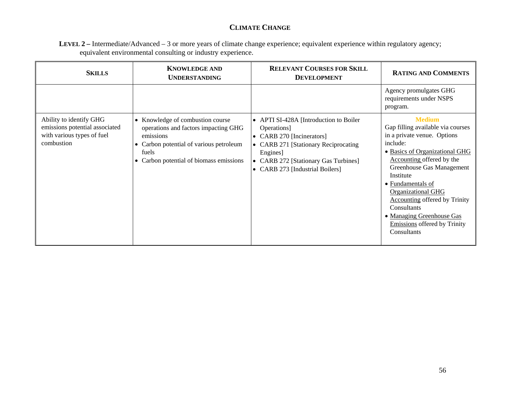#### **CLIMATE CHANGE**

**LEVEL 2 –** Intermediate/Advanced – 3 or more years of climate change experience; equivalent experience within regulatory agency; equivalent environmental consulting or industry experience.

| <b>SKILLS</b>                                                                                         | <b>KNOWLEDGE AND</b><br><b>UNDERSTANDING</b>                                                                                                                                                  | <b>RELEVANT COURSES FOR SKILL</b><br><b>DEVELOPMENT</b>                                                                                                                                                                                                | <b>RATING AND COMMENTS</b>                                                                                                                                                                                                                                                                                                                                                                  |
|-------------------------------------------------------------------------------------------------------|-----------------------------------------------------------------------------------------------------------------------------------------------------------------------------------------------|--------------------------------------------------------------------------------------------------------------------------------------------------------------------------------------------------------------------------------------------------------|---------------------------------------------------------------------------------------------------------------------------------------------------------------------------------------------------------------------------------------------------------------------------------------------------------------------------------------------------------------------------------------------|
|                                                                                                       |                                                                                                                                                                                               |                                                                                                                                                                                                                                                        | Agency promulgates GHG<br>requirements under NSPS<br>program.                                                                                                                                                                                                                                                                                                                               |
| Ability to identify GHG<br>emissions potential associated<br>with various types of fuel<br>combustion | • Knowledge of combustion course<br>operations and factors impacting GHG<br>emissions<br>Carbon potential of various petroleum<br>$\bullet$<br>fuels<br>Carbon potential of biomass emissions | • APTI SI-428A [Introduction to Boiler<br>Operations]<br>• CARB 270 [Incinerators]<br>• CARB 271 [Stationary Reciprocating]<br>Engines]<br><b>CARB 272 [Stationary Gas Turbines]</b><br>$\bullet$<br><b>CARB 273 [Industrial Boilers]</b><br>$\bullet$ | <b>Medium</b><br>Gap filling available via courses<br>in a private venue. Options<br>include:<br>• Basics of Organizational GHG<br>Accounting offered by the<br>Greenhouse Gas Management<br>Institute<br>• Fundamentals of<br><b>Organizational GHG</b><br><b>Accounting offered by Trinity</b><br>Consultants<br>• Managing Greenhouse Gas<br>Emissions offered by Trinity<br>Consultants |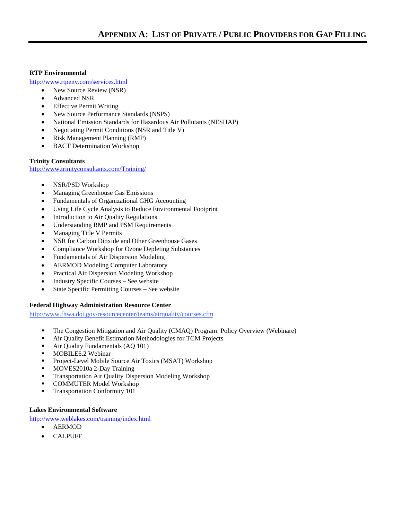#### **RTP Environmental**

http://www.rtpenv.com/services.html

- New Source Review (NSR)
- Advanced NSR
- Effective Permit Writing
- New Source Performance Standards (NSPS)
- National Emission Standards for Hazardous Air Pollutants (NESHAP)
- Negotiating Permit Conditions (NSR and Title V)
- Risk Management Planning (RMP)
- BACT Determination Workshop

#### **Trinity Consultants**

http://www.trinityconsultants.com/Training/

- NSR/PSD Workshop
- Managing Greenhouse Gas Emissions
- Fundamentals of Organizational GHG Accounting
- Using Life Cycle Analysis to Reduce Environmental Footprint
- Introduction to Air Quality Regulations
- Understanding RMP and PSM Requirements
- Managing Title V Permits
- NSR for Carbon Dioxide and Other Greenhouse Gases
- Compliance Workshop for Ozone Depleting Substances
- Fundamentals of Air Dispersion Modeling
- AERMOD Modeling Computer Laboratory
- Practical Air Dispersion Modeling Workshop
- Industry Specific Courses See website
- State Specific Permitting Courses See website

#### **Federal Highway Administration Resource Center**

http://www.fhwa.dot.gov/resourcecenter/teams/airquality/courses.cfm

- The Congestion Mitigation and Air Quality (CMAQ) Program: Policy Overview (Webinare)
- Air Quality Benefit Estimation Methodologies for TCM Projects
- Air Quality Fundamentals (AQ 101)
- **MOBILE6.2 Webinar**
- Project-Level Mobile Source Air Toxics (MSAT) Workshop
- **MOVES2010a 2-Day Training**
- **Transportation Air Quality Dispersion Modeling Workshop**
- **COMMUTER Model Workshop**
- **Transportation Conformity 101**

#### **Lakes Environmental Software**

http://www.weblakes.com/training/index.html

- AERMOD
- CALPUFF